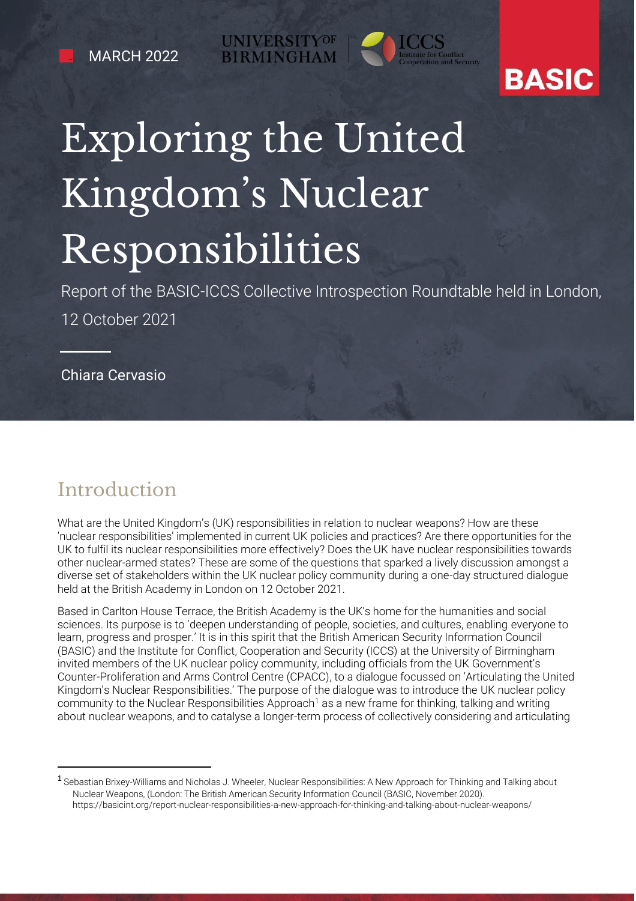**UNIVERSITYOF BIRMINGH** 



## **BASIC**

# Exploring the United Kingdom's Nuclear Responsibilities

Report of the BASIC-ICCS Collective Introspection Roundtable held in London, 12 October 2021

Chiara Cervasio

### Introduction

What are the United Kingdom's (UK) responsibilities in relation to nuclear weapons? How are these 'nuclear responsibilities' implemented in current UK policies and practices? Are there opportunities for the UK to fulfil its nuclear responsibilities more effectively? Does the UK have nuclear responsibilities towards other nuclear-armed states? These are some of the questions that sparked a lively discussion amongst a diverse set of stakeholders within the UK nuclear policy community during a one-day structured dialogue held at the British Academy in London on 12 October 2021.

Based in Carlton House Terrace, the British Academy is the UK's home for the humanities and social sciences. Its purpose is to 'deepen understanding of people, societies, and cultures, enabling everyone to learn, progress and prosper.' It is in this spirit that the British American Security Information Council (BASIC) and the Institute for Conflict, Cooperation and Security (ICCS) at the University of Birmingham invited members of the UK nuclear policy community, including officials from the UK Government's Counter-Proliferation and Arms Control Centre (CPACC), to a dialogue focussed on 'Articulating the United Kingdom's Nuclear Responsibilities.' The purpose of the dialogue was to introduce the UK nuclear policy community to the Nuclear Responsibilities Approach<sup>1</sup> as a new frame for thinking, talking and writing about nuclear weapons, and to catalyse a longer-term process of collectively considering and articulating

<sup>1</sup> Sebastian Brixey-Williams and Nicholas J. Wheeler, Nuclear Responsibilities: A New Approach for Thinking and Talking about Nuclear Weapons, (London: The British American Security Information Council (BASIC, November 2020). https://basicint.org/report-nuclear-responsibilities-a-new-approach-for-thinking-and-talking-about-nuclear-weapons/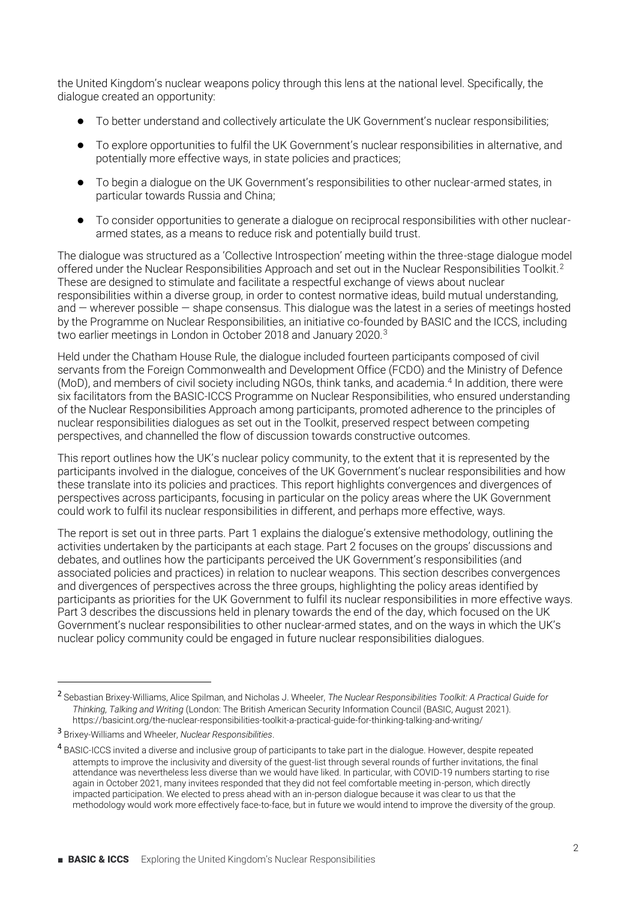the United Kingdom's nuclear weapons policy through this lens at the national level. Specifically, the dialogue created an opportunity:

- To better understand and collectively articulate the UK Government's nuclear responsibilities;
- To explore opportunities to fulfil the UK Government's nuclear responsibilities in alternative, and potentially more effective ways, in state policies and practices;
- $\bullet$  To begin a dialogue on the UK Government's responsibilities to other nuclear-armed states, in particular towards Russia and China;
- භ To consider opportunities to generate a dialogue on reciprocal responsibilities with other nucleararmed states, as a means to reduce risk and potentially build trust.

The dialogue was structured as a 'Collective Introspection' meeting within the three-stage dialogue model offered under the Nuclear Responsibilities Approach and set out in the Nuclear Responsibilities Toolkit.2 These are designed to stimulate and facilitate a respectful exchange of views about nuclear responsibilities within a diverse group, in order to contest normative ideas, build mutual understanding, and  $-$  wherever possible  $-$  shape consensus. This dialogue was the latest in a series of meetings hosted by the Programme on Nuclear Responsibilities, an initiative co-founded by BASIC and the ICCS, including two earlier meetings in London in October 2018 and January 2020.3

Held under the Chatham House Rule, the dialogue included fourteen participants composed of civil servants from the Foreign Commonwealth and Development Office (FCDO) and the Ministry of Defence (MoD), and members of civil society including NGOs, think tanks, and academia.4 In addition, there were six facilitators from the BASIC-ICCS Programme on Nuclear Responsibilities, who ensured understanding of the Nuclear Responsibilities Approach among participants, promoted adherence to the principles of nuclear responsibilities dialogues as set out in the Toolkit, preserved respect between competing perspectives, and channelled the flow of discussion towards constructive outcomes.

This report outlines how the UK's nuclear policy community, to the extent that it is represented by the participants involved in the dialogue, conceives of the UK Government's nuclear responsibilities and how these translate into its policies and practices. This report highlights convergences and divergences of perspectives across participants, focusing in particular on the policy areas where the UK Government could work to fulfil its nuclear responsibilities in different, and perhaps more effective, ways.

The report is set out in three parts. Part 1 explains the dialogue's extensive methodology, outlining the activities undertaken by the participants at each stage. Part 2 focuses on the groups' discussions and debates, and outlines how the participants perceived the UK Government's responsibilities (and associated policies and practices) in relation to nuclear weapons. This section describes convergences and divergences of perspectives across the three groups, highlighting the policy areas identified by participants as priorities for the UK Government to fulfil its nuclear responsibilities in more effective ways. Part 3 describes the discussions held in plenary towards the end of the day, which focused on the UK Government's nuclear responsibilities to other nuclear-armed states, and on the ways in which the UK's nuclear policy community could be engaged in future nuclear responsibilities dialogues.

<sup>2</sup> Sebastian Brixey-Williams, Alice Spilman, and Nicholas J. Wheeler, *The Nuclear Responsibilities Toolkit: A Practical Guide for Thinking, Talking and Writing* (London: The British American Security Information Council (BASIC, August 2021). https://basicint.org/the-nuclear-responsibilities-toolkit-a-practical-guide-for-thinking-talking-and-writing/

<sup>3</sup> Brixey-Williams and Wheeler, *Nuclear Responsibilities*.

<sup>4</sup> BASIC-ICCS invited a diverse and inclusive group of participants to take part in the dialogue. However, despite repeated attempts to improve the inclusivity and diversity of the guest-list through several rounds of further invitations, the final attendance was nevertheless less diverse than we would have liked. In particular, with COVID-19 numbers starting to rise again in October 2021, many invitees responded that they did not feel comfortable meeting in-person, which directly impacted participation. We elected to press ahead with an in-person dialogue because it was clear to us that the methodology would work more effectively face-to-face, but in future we would intend to improve the diversity of the group.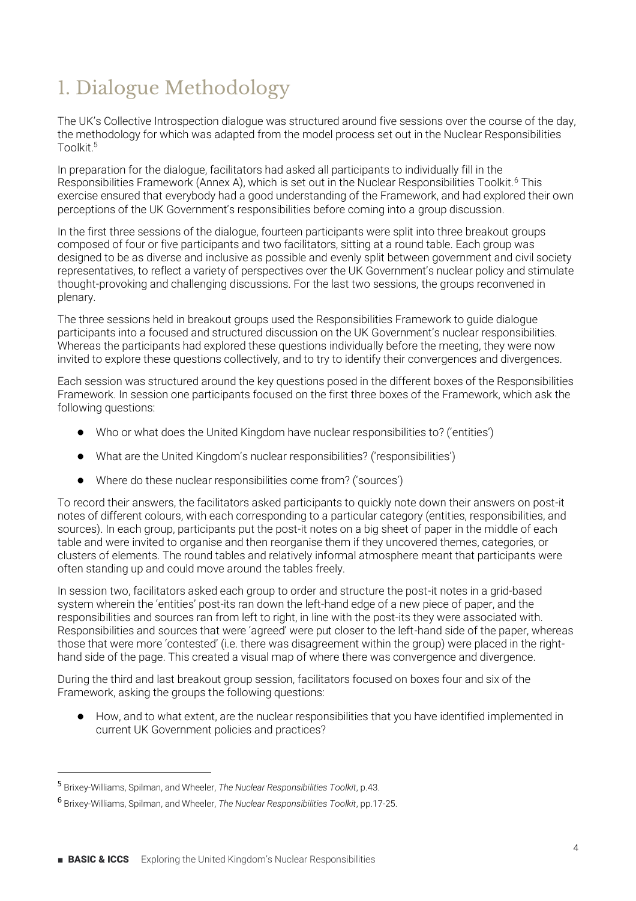### 1. Dialogue Methodology

The UK's Collective Introspection dialogue was structured around five sessions over the course of the day, the methodology for which was adapted from the model process set out in the Nuclear Responsibilities Toolkit<sup>5</sup>

In preparation for the dialogue, facilitators had asked all participants to individually fill in the Responsibilities Framework (Annex A), which is set out in the Nuclear Responsibilities Toolkit.<sup>6</sup> This exercise ensured that everybody had a good understanding of the Framework, and had explored their own perceptions of the UK Government's responsibilities before coming into a group discussion.

In the first three sessions of the dialogue, fourteen participants were split into three breakout groups composed of four or five participants and two facilitators, sitting at a round table. Each group was designed to be as diverse and inclusive as possible and evenly split between government and civil society representatives, to reflect a variety of perspectives over the UK Government's nuclear policy and stimulate thought-provoking and challenging discussions. For the last two sessions, the groups reconvened in plenary.

The three sessions held in breakout groups used the Responsibilities Framework to guide dialogue participants into a focused and structured discussion on the UK Government's nuclear responsibilities. Whereas the participants had explored these questions individually before the meeting, they were now invited to explore these questions collectively, and to try to identify their convergences and divergences.

Each session was structured around the key questions posed in the different boxes of the Responsibilities Framework. In session one participants focused on the first three boxes of the Framework, which ask the following questions:

- Who or what does the United Kingdom have nuclear responsibilities to? ('entities')
- What are the United Kingdom's nuclear responsibilities? ('responsibilities')
- Where do these nuclear responsibilities come from? ('sources')

To record their answers, the facilitators asked participants to quickly note down their answers on post-it notes of different colours, with each corresponding to a particular category (entities, responsibilities, and sources). In each group, participants put the post-it notes on a big sheet of paper in the middle of each table and were invited to organise and then reorganise them if they uncovered themes, categories, or clusters of elements. The round tables and relatively informal atmosphere meant that participants were often standing up and could move around the tables freely.

In session two, facilitators asked each group to order and structure the post-it notes in a grid-based system wherein the 'entities' post-its ran down the left-hand edge of a new piece of paper, and the responsibilities and sources ran from left to right, in line with the post-its they were associated with. Responsibilities and sources that were 'agreed' were put closer to the left-hand side of the paper, whereas those that were more 'contested' (i.e. there was disagreement within the group) were placed in the righthand side of the page. This created a visual map of where there was convergence and divergence.

During the third and last breakout group session, facilitators focused on boxes four and six of the Framework, asking the groups the following questions:

භ How, and to what extent, are the nuclear responsibilities that you have identified implemented in current UK Government policies and practices?

<sup>5</sup> Brixey-Williams, Spilman, and Wheeler, *The Nuclear Responsibilities Toolkit*, p.43.

<sup>6</sup> Brixey-Williams, Spilman, and Wheeler, *The Nuclear Responsibilities Toolkit*, pp.17-25.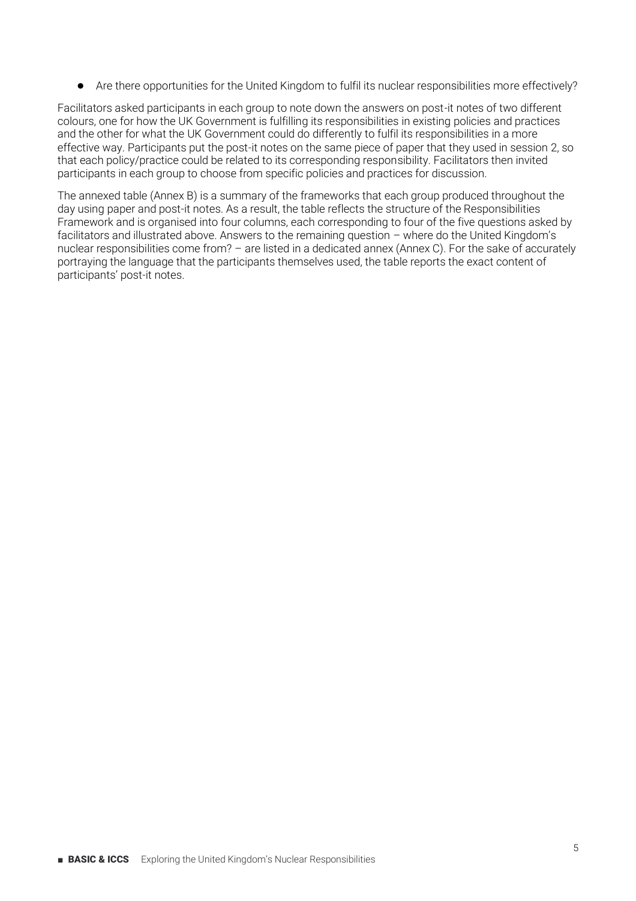භ Are there opportunities for the United Kingdom to fulfil its nuclear responsibilities more effectively?

Facilitators asked participants in each group to note down the answers on post-it notes of two different colours, one for how the UK Government is fulfilling its responsibilities in existing policies and practices and the other for what the UK Government could do differently to fulfil its responsibilities in a more effective way. Participants put the post-it notes on the same piece of paper that they used in session 2, so that each policy/practice could be related to its corresponding responsibility. Facilitators then invited participants in each group to choose from specific policies and practices for discussion.

The annexed table (Annex B) is a summary of the frameworks that each group produced throughout the day using paper and post-it notes. As a result, the table reflects the structure of the Responsibilities Framework and is organised into four columns, each corresponding to four of the five questions asked by facilitators and illustrated above. Answers to the remaining question  $-$  where do the United Kingdom's nuclear responsibilities come from? – are listed in a dedicated annex (Annex C). For the sake of accurately portraying the language that the participants themselves used, the table reports the exact content of participants' post-it notes.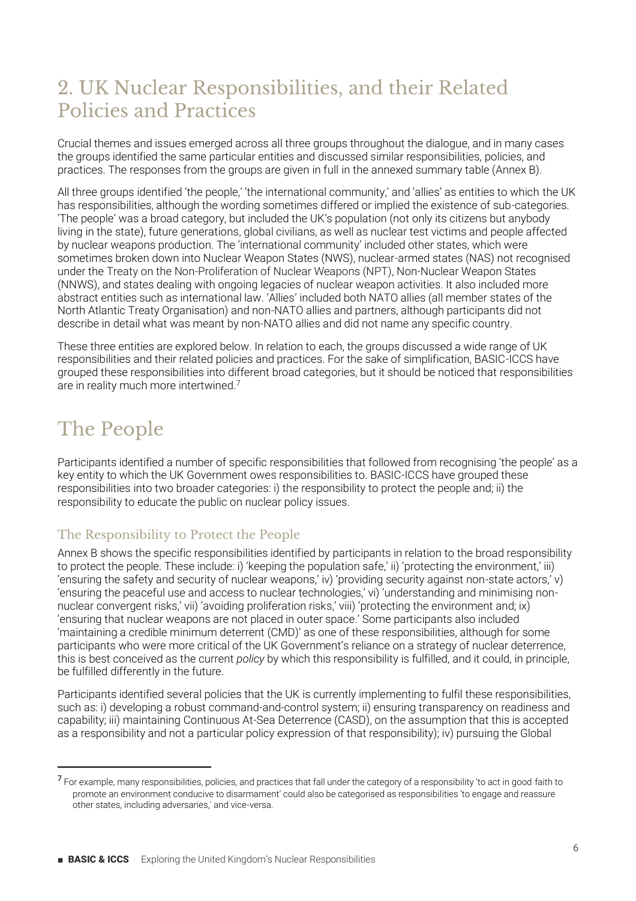#### 2. UK Nuclear Responsibilities, and their Related Policies and Practices

Crucial themes and issues emerged across all three groups throughout the dialogue, and in many cases the groups identified the same particular entities and discussed similar responsibilities, policies, and practices. The responses from the groups are given in full in the annexed summary table (Annex B).

All three groups identified 'the people,' 'the international community,' and 'allies' as entities to which the UK has responsibilities, although the wording sometimes differed or implied the existence of sub-categories. 'The people' was a broad category, but included the UK's population (not only its citizens but anybody living in the state), future generations, global civilians, as well as nuclear test victims and people affected by nuclear weapons production. The 'international community' included other states, which were sometimes broken down into Nuclear Weapon States (NWS), nuclear-armed states (NAS) not recognised under the Treaty on the Non-Proliferation of Nuclear Weapons (NPT), Non-Nuclear Weapon States (NNWS), and states dealing with ongoing legacies of nuclear weapon activities. It also included more abstract entities such as international law. 'Allies' included both NATO allies (all member states of the North Atlantic Treaty Organisation) and non-NATO allies and partners, although participants did not describe in detail what was meant by non-NATO allies and did not name any specific country.

These three entities are explored below. In relation to each, the groups discussed a wide range of UK responsibilities and their related policies and practices. For the sake of simplification, BASIC-ICCS have grouped these responsibilities into different broad categories, but it should be noticed that responsibilities are in reality much more intertwined.7

### The People

Participants identified a number of specific responsibilities that followed from recognising 'the people' as a key entity to which the UK Government owes responsibilities to. BASIC-ICCS have grouped these responsibilities into two broader categories: i) the responsibility to protect the people and; ii) the responsibility to educate the public on nuclear policy issues.

#### The Responsibility to Protect the People

Annex B shows the specific responsibilities identified by participants in relation to the broad responsibility to protect the people. These include: i) 'keeping the population safe,' ii) 'protecting the environment,' iii) 'ensuring the safety and security of nuclear weapons' iv) 'providing security against non-state actors' v) 'ensuring the peaceful use and access to nuclear technologies,' vi) 'understanding and minimising nonnuclear convergent risks,' vii) 'avoiding proliferation risks,' viii) 'protecting the environment and; ix) 'ensuring that nuclear weapons are not placed in outer space.' Some participants also included 'maintaining a credible minimum deterrent (CMD)' as one of these responsibilities, although for some participants who were more critical of the UK Government's reliance on a strategy of nuclear deterrence. this is best conceived as the current *policy* by which this responsibility is fulfilled, and it could, in principle, be fulfilled differently in the future.

Participants identified several policies that the UK is currently implementing to fulfil these responsibilities, such as: i) developing a robust command-and-control system; ii) ensuring transparency on readiness and capability; iii) maintaining Continuous At-Sea Deterrence (CASD), on the assumption that this is accepted as a responsibility and not a particular policy expression of that responsibility); iv) pursuing the Global

<sup>&</sup>lt;sup>7</sup> For example, many responsibilities, policies, and practices that fall under the category of a responsibility 'to act in good faith to promote an environment conducive to disarmament' could also be categorised as responsibilities 'to engage and reassure other states, including adversaries,' and vice-versa.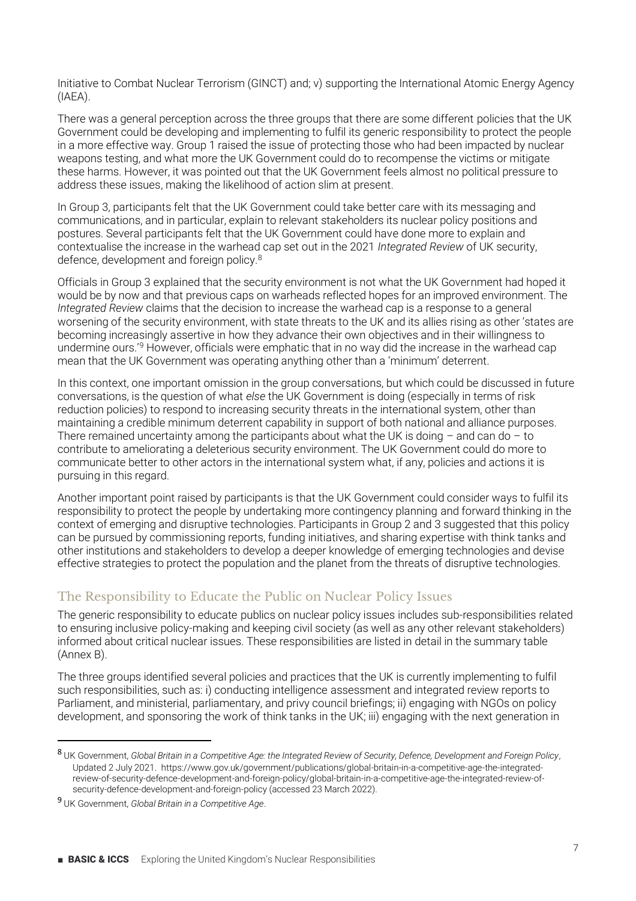Initiative to Combat Nuclear Terrorism (GINCT) and; v) supporting the International Atomic Energy Agency (IAEA).

There was a general perception across the three groups that there are some different policies that the UK Government could be developing and implementing to fulfil its generic responsibility to protect the people in a more effective way. Group 1 raised the issue of protecting those who had been impacted by nuclear weapons testing, and what more the UK Government could do to recompense the victims or mitigate these harms. However, it was pointed out that the UK Government feels almost no political pressure to address these issues, making the likelihood of action slim at present.

In Group 3, participants felt that the UK Government could take better care with its messaging and communications, and in particular, explain to relevant stakeholders its nuclear policy positions and postures. Several participants felt that the UK Government could have done more to explain and contextualise the increase in the warhead cap set out in the 2021 *Integrated Review* of UK security, defence, development and foreign policy.8

Officials in Group 3 explained that the security environment is not what the UK Government had hoped it would be by now and that previous caps on warheads reflected hopes for an improved environment. The *Integrated Review* claims that the decision to increase the warhead cap is a response to a general worsening of the security environment, with state threats to the UK and its allies rising as other 'states are becoming increasingly assertive in how they advance their own objectives and in their willingness to undermine ours.<sup>'9</sup> However, officials were emphatic that in no way did the increase in the warhead cap mean that the UK Government was operating anything other than a 'minimum' deterrent.

In this context, one important omission in the group conversations, but which could be discussed in future conversations, is the question of what *else* the UK Government is doing (especially in terms of risk reduction policies) to respond to increasing security threats in the international system, other than maintaining a credible minimum deterrent capability in support of both national and alliance purposes. There remained uncertainty among the participants about what the UK is doing  $-$  and can do  $-$  to contribute to ameliorating a deleterious security environment. The UK Government could do more to communicate better to other actors in the international system what, if any, policies and actions it is pursuing in this regard.

Another important point raised by participants is that the UK Government could consider ways to fulfil its responsibility to protect the people by undertaking more contingency planning and forward thinking in the context of emerging and disruptive technologies. Participants in Group 2 and 3 suggested that this policy can be pursued by commissioning reports, funding initiatives, and sharing expertise with think tanks and other institutions and stakeholders to develop a deeper knowledge of emerging technologies and devise effective strategies to protect the population and the planet from the threats of disruptive technologies.

#### The Responsibility to Educate the Public on Nuclear Policy Issues

The generic responsibility to educate publics on nuclear policy issues includes sub-responsibilities related to ensuring inclusive policy-making and keeping civil society (as well as any other relevant stakeholders) informed about critical nuclear issues. These responsibilities are listed in detail in the summary table (Annex B).

The three groups identified several policies and practices that the UK is currently implementing to fulfil such responsibilities, such as: i) conducting intelligence assessment and integrated review reports to Parliament, and ministerial, parliamentary, and privy council briefings; ii) engaging with NGOs on policy development, and sponsoring the work of think tanks in the UK; iii) engaging with the next generation in

<sup>8</sup> UK Government, *Global Britain in a Competitive Age: the Integrated Review of Security, Defence, Development and Foreign Policy*, Updated 2 July 2021. [https://www.gov.uk/government/publications/global-britain-in-a-competitive-age-the-integrated](https://www.gov.uk/government/publications/global-britain-in-a-competitive-age-the-integrated-review-of-security-defence-development-and-foreign-policy/global-britain-in-a-competitive-age-the-integrated-review-of-security-defence-development-and-foreign-policy)[review-of-security-defence-development-and-foreign-policy/global-britain-in-a-competitive-age-the-integrated-review-of](https://www.gov.uk/government/publications/global-britain-in-a-competitive-age-the-integrated-review-of-security-defence-development-and-foreign-policy/global-britain-in-a-competitive-age-the-integrated-review-of-security-defence-development-and-foreign-policy)[security-defence-development-and-foreign-policy](https://www.gov.uk/government/publications/global-britain-in-a-competitive-age-the-integrated-review-of-security-defence-development-and-foreign-policy/global-britain-in-a-competitive-age-the-integrated-review-of-security-defence-development-and-foreign-policy) (accessed 23 March 2022).

<sup>9</sup> UK Government, *Global Britain in a Competitive Age*.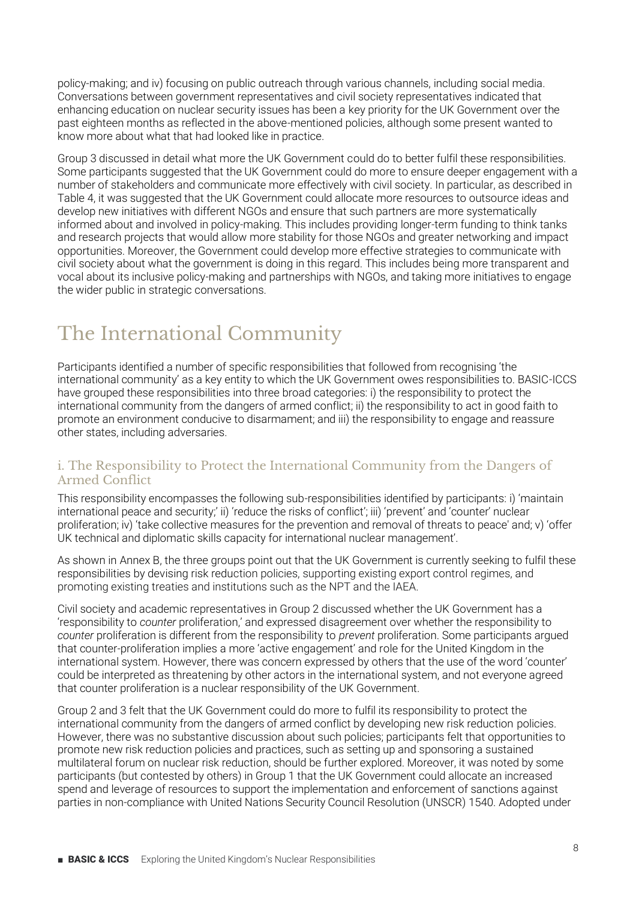policy-making; and iv) focusing on public outreach through various channels, including social media. Conversations between government representatives and civil society representatives indicated that enhancing education on nuclear security issues has been a key priority for the UK Government over the past eighteen months as reflected in the above-mentioned policies, although some present wanted to know more about what that had looked like in practice.

Group 3 discussed in detail what more the UK Government could do to better fulfil these responsibilities. Some participants suggested that the UK Government could do more to ensure deeper engagement with a number of stakeholders and communicate more effectively with civil society. In particular, as described in Table 4, it was suggested that the UK Government could allocate more resources to outsource ideas and develop new initiatives with different NGOs and ensure that such partners are more systematically informed about and involved in policy-making. This includes providing longer-term funding to think tanks and research projects that would allow more stability for those NGOs and greater networking and impact opportunities. Moreover, the Government could develop more effective strategies to communicate with civil society about what the government is doing in this regard. This includes being more transparent and vocal about its inclusive policy-making and partnerships with NGOs, and taking more initiatives to engage the wider public in strategic conversations.

### The International Community

Participants identified a number of specific responsibilities that followed from recognising 'the international community' as a key entity to which the UK Government owes responsibilities to. BASIC-ICCS have grouped these responsibilities into three broad categories: i) the responsibility to protect the international community from the dangers of armed conflict; ii) the responsibility to act in good faith to promote an environment conducive to disarmament; and iii) the responsibility to engage and reassure other states, including adversaries.

#### i. The Responsibility to Protect the International Community from the Dangers of Armed Conflict

This responsibility encompasses the following sub-responsibilities identified by participants: i) 'maintain international peace and security,' ii) 'reduce the risks of conflict'; iii) 'prevent' and 'counter' nuclear proliferation: iv) 'take collective measures for the prevention and removal of threats to peace' and: v) 'offer UK technical and diplomatic skills capacity for international nuclear management'.

As shown in Annex B, the three groups point out that the UK Government is currently seeking to fulfil these responsibilities by devising risk reduction policies, supporting existing export control regimes, and promoting existing treaties and institutions such as the NPT and the IAEA.

Civil society and academic representatives in Group 2 discussed whether the UK Government has a fresponsibility to *counter* proliferation,' and expressed disagreement over whether the responsibility to *counter* proliferation is different from the responsibility to *prevent* proliferation. Some participants argued that counter-proliferation implies a more 'active engagement' and role for the United Kingdom in the international system. However, there was concern expressed by others that the use of the word 'counter' could be interpreted as threatening by other actors in the international system, and not everyone agreed that counter proliferation is a nuclear responsibility of the UK Government.

Group 2 and 3 felt that the UK Government could do more to fulfil its responsibility to protect the international community from the dangers of armed conflict by developing new risk reduction policies. However, there was no substantive discussion about such policies; participants felt that opportunities to promote new risk reduction policies and practices, such as setting up and sponsoring a sustained multilateral forum on nuclear risk reduction, should be further explored. Moreover, it was noted by some participants (but contested by others) in Group 1 that the UK Government could allocate an increased spend and leverage of resources to support the implementation and enforcement of sanctions against parties in non-compliance with United Nations Security Council Resolution (UNSCR) 1540. Adopted under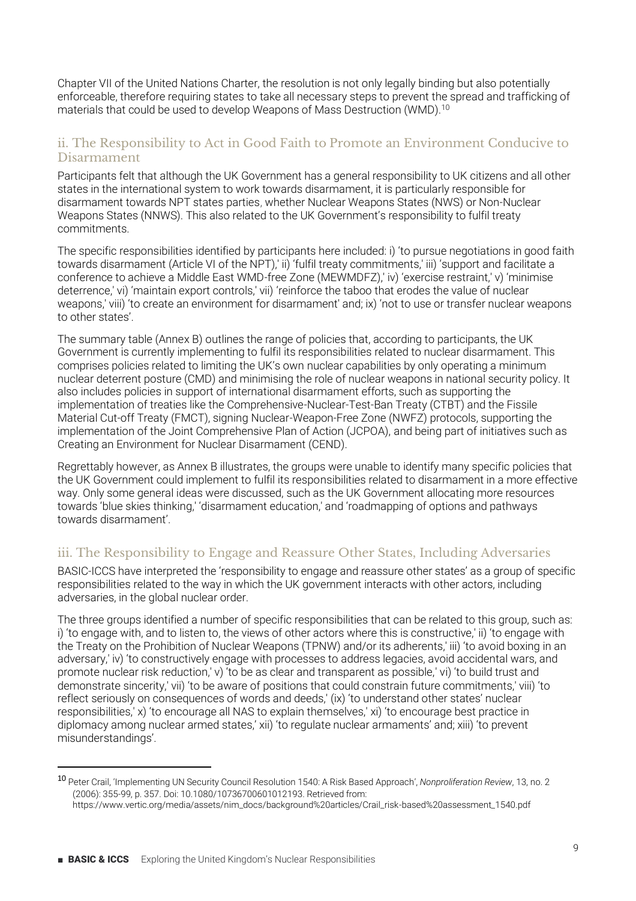Chapter VII of the United Nations Charter, the resolution is not only legally binding but also potentially enforceable, therefore requiring states to take all necessary steps to prevent the spread and trafficking of materials that could be used to develop Weapons of Mass Destruction (WMD).<sup>10</sup>

#### ii. The Responsibility to Act in Good Faith to Promote an Environment Conducive to Disarmament

Participants felt that although the UK Government has a general responsibility to UK citizens and all other states in the international system to work towards disarmament, it is particularly responsible for disarmament towards NPT states parties, whether Nuclear Weapons States (NWS) or Non-Nuclear Weapons States (NNWS). This also related to the UK Government's responsibility to fulfil treaty commitments.

The specific responsibilities identified by participants here included: i) 'to pursue negotiations in good faith towards disarmament (Article VI of the NPT), ii) 'fulfil treaty commitments,' iii) 'support and facilitate a conference to achieve a Middle East WMD-free Zone (MEWMDFZ),' iv) 'exercise restraint,' v) 'minimise deterrence,' vi) 'maintain export controls,' vii) 'reinforce the taboo that erodes the value of nuclear weapons,' viii) 'to create an environment for disarmament' and; ix) 'not to use or transfer nuclear weapons to other states'.

The summary table (Annex B) outlines the range of policies that, according to participants, the UK Government is currently implementing to fulfil its responsibilities related to nuclear disarmament. This comprises policies related to limiting the UK's own nuclear capabilities by only operating a minimum nuclear deterrent posture (CMD) and minimising the role of nuclear weapons in national security policy. It also includes policies in support of international disarmament efforts, such as supporting the implementation of treaties like the Comprehensive-Nuclear-Test-Ban Treaty (CTBT) and the Fissile Material Cut-off Treaty (FMCT), signing Nuclear-Weapon-Free Zone (NWFZ) protocols, supporting the implementation of the Joint Comprehensive Plan of Action (JCPOA), and being part of initiatives such as Creating an Environment for Nuclear Disarmament (CEND).

Regrettably however, as Annex B illustrates, the groups were unable to identify many specific policies that the UK Government could implement to fulfil its responsibilities related to disarmament in a more effective way. Only some general ideas were discussed, such as the UK Government allocating more resources towards 'blue skies thinking,' 'disarmament education,' and 'roadmapping of options and pathways towards disarmament'

#### iii. The Responsibility to Engage and Reassure Other States, Including Adversaries

BASIC-ICCS have interpreted the 'responsibility to engage and reassure other states' as a group of specific responsibilities related to the way in which the UK government interacts with other actors, including adversaries, in the global nuclear order.

The three groups identified a number of specific responsibilities that can be related to this group, such as: i) 'to engage with, and to listen to, the views of other actors where this is constructive,' ii) 'to engage with the Treaty on the Prohibition of Nuclear Weapons (TPNW) and/or its adherents, iii) 'to avoid boxing in an adversary,' iv) 'to constructively engage with processes to address legacies, avoid accidental wars, and promote nuclear risk reduction, v) 'to be as clear and transparent as possible,' vi) 'to build trust and demonstrate sincerity, vii) 'to be aware of positions that could constrain future commitments, viii) 'to reflect seriously on consequences of words and deeds,' (ix) 'to understand other states' nuclear responsibilities, x) 'to encourage all NAS to explain themselves,' xi) 'to encourage best practice in diplomacy among nuclear armed states,' xii) 'to regulate nuclear armaments' and; xiii) 'to prevent misunderstandings'.

<sup>10</sup> Peter Crail, 'Implementing UN Security Council Resolution 1540: A Risk Based Approach', *Nonproliferation Review*, 13, no. 2 (2006): 355-99, p. 357. Doi: 10.1080/10736700601012193. Retrieved from:

https://www.vertic.org/media/assets/nim\_docs/background%20articles/Crail\_risk-based%20assessment\_1540.pdf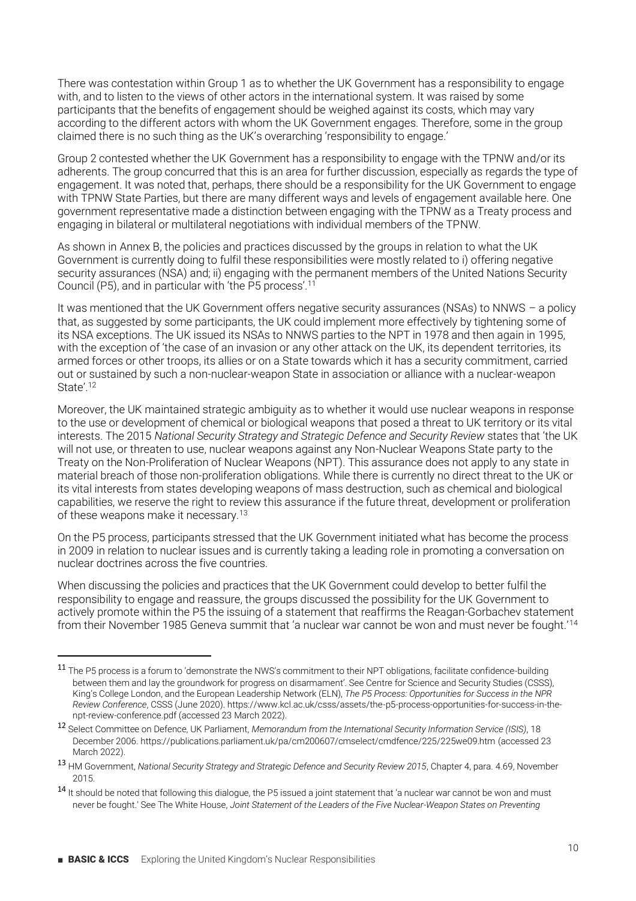There was contestation within Group 1 as to whether the UK Government has a responsibility to engage with, and to listen to the views of other actors in the international system. It was raised by some participants that the benefits of engagement should be weighed against its costs, which may vary according to the different actors with whom the UK Government engages. Therefore, some in the group claimed there is no such thing as the UK's overarching 'responsibility to engage.'

Group 2 contested whether the UK Government has a responsibility to engage with the TPNW and/or its adherents. The group concurred that this is an area for further discussion, especially as regards the type of engagement. It was noted that, perhaps, there should be a responsibility for the UK Government to engage with TPNW State Parties, but there are many different ways and levels of engagement available here. One government representative made a distinction between engaging with the TPNW as a Treaty process and engaging in bilateral or multilateral negotiations with individual members of the TPNW.

As shown in Annex B, the policies and practices discussed by the groups in relation to what the UK Government is currently doing to fulfil these responsibilities were mostly related to i) offering negative security assurances (NSA) and; ii) engaging with the permanent members of the United Nations Security Council (P5), and in particular with 'the P5 process'.<sup>11</sup>

It was mentioned that the UK Government offers negative security assurances (NSAs) to NNWS - a policy that, as suggested by some participants, the UK could implement more effectively by tightening some of its NSA exceptions. The UK issued its NSAs to NNWS parties to the NPT in 1978 and then again in 1995, with the exception of 'the case of an invasion or any other attack on the UK, its dependent territories, its armed forces or other troops, its allies or on a State towards which it has a security commitment, carried out or sustained by such a non-nuclear-weapon State in association or alliance with a nuclear-weapon State'.<sup>12</sup>

Moreover, the UK maintained strategic ambiguity as to whether it would use nuclear weapons in response to the use or development of chemical or biological weapons that posed a threat to UK territory or its vital interests. The 2015 National Security Strategy and Strategic Defence and Security Review states that 'the UK will not use, or threaten to use, nuclear weapons against any Non-Nuclear Weapons State party to the Treaty on the Non-Proliferation of Nuclear Weapons (NPT). This assurance does not apply to any state in material breach of those non-proliferation obligations. While there is currently no direct threat to the UK or its vital interests from states developing weapons of mass destruction, such as chemical and biological capabilities, we reserve the right to review this assurance if the future threat, development or proliferation of these weapons make it necessary.13

On the P5 process, participants stressed that the UK Government initiated what has become the process in 2009 in relation to nuclear issues and is currently taking a leading role in promoting a conversation on nuclear doctrines across the five countries.

When discussing the policies and practices that the UK Government could develop to better fulfil the responsibility to engage and reassure, the groups discussed the possibility for the UK Government to actively promote within the P5 the issuing of a statement that reaffirms the Reagan-Gorbachev statement from their November 1985 Geneva summit that 'a nuclear war cannot be won and must never be fought.'<sup>14</sup>

<sup>11</sup> The P5 process is a forum to 'demonstrate the NWS's commitment to their NPT obligations, facilitate confidence-building between them and lay the groundwork for progress on disarmament'. See Centre for Science and Security Studies (CSSS), King's College London, and the European Leadership Network (ELN), *The P5 Process: Opportunities for Success in the NPR Review Conference*, CSSS (June 2020). https://www.kcl.ac.uk/csss/assets/the-p5-process-opportunities-for-success-in-thenpt-review-conference.pdf (accessed 23 March 2022).

<sup>12</sup> Select Committee on Defence, UK Parliament, *Memorandum from the International Security Information Service (ISIS)*, 18 December 2006[. https://publications.parliament.uk/pa/cm200607/cmselect/cmdfence/225/225we09.htm](https://publications.parliament.uk/pa/cm200607/cmselect/cmdfence/225/225we09.htm) (accessed 23 March 2022).

<sup>13</sup> HM Government, *National Security Strategy and Strategic Defence and Security Review 2015*, Chapter 4, para. 4.69, November 2015.

<sup>14</sup> It should be noted that following this dialogue, the P5 issued a joint statement that 'a nuclear war cannot be won and must never be fought.' See The White House, Joint Statement of the Leaders of the Five Nuclear-Weapon States on Preventing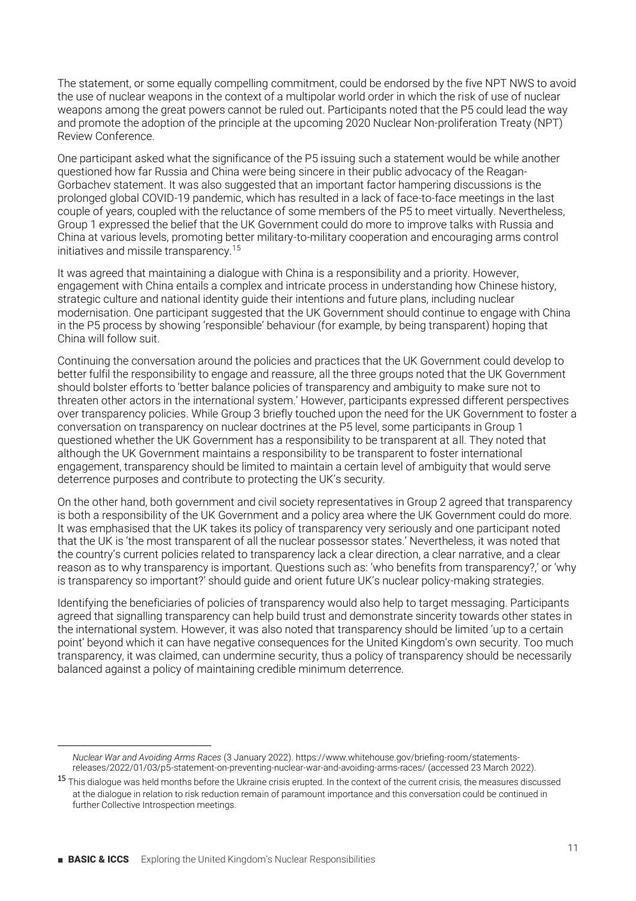The statement, or some equally compelling commitment, could be endorsed by the five NPT NWS to avoid the use of nuclear weapons in the context of a multipolar world order in which the risk of use of nuclear weapons among the great powers cannot be ruled out. Participants noted that the P5 could lead the way and promote the adoption of the principle at the upcoming 2020 Nuclear Non-proliferation Treaty (NPT) Review Conference.

One participant asked what the significance of the P5 issuing such a statement would be while another questioned how far Russia and China were being sincere in their public advocacy of the Reagan-Gorbachev statement. It was also suggested that an important factor hampering discussions is the prolonged global COVID-19 pandemic, which has resulted in a lack of face-to-face meetings in the last couple of years, coupled with the reluctance of some members of the P5 to meet virtually. Nevertheless, Group 1 expressed the belief that the UK Government could do more to improve talks with Russia and China at various levels, promoting better military-to-military cooperation and encouraging arms control initiatives and missile transparency.15

It was agreed that maintaining a dialogue with China is a responsibility and a priority. However, engagement with China entails a complex and intricate process in understanding how Chinese history, strategic culture and national identity guide their intentions and future plans, including nuclear modernisation. One participant suggested that the UK Government should continue to engage with China in the P5 process by showing 'responsible' behaviour (for example, by being transparent) hoping that China will follow suit.

Continuing the conversation around the policies and practices that the UK Government could develop to better fulfil the responsibility to engage and reassure, all the three groups noted that the UK Government should bolster efforts to 'better balance policies of transparency and ambiguity to make sure not to threaten other actors in the international system.' However, participants expressed different perspectives over transparency policies. While Group 3 briefly touched upon the need for the UK Government to foster a conversation on transparency on nuclear doctrines at the P5 level, some participants in Group 1 questioned whether the UK Government has a responsibility to be transparent at all. They noted that although the UK Government maintains a responsibility to be transparent to foster international engagement, transparency should be limited to maintain a certain level of ambiguity that would serve deterrence purposes and contribute to protecting the UK's security.

On the other hand, both government and civil society representatives in Group 2 agreed that transparency is both a responsibility of the UK Government and a policy area where the UK Government could do more. It was emphasised that the UK takes its policy of transparency very seriously and one participant noted that the UK is 'the most transparent of all the nuclear possessor states.' Nevertheless, it was noted that the country's current policies related to transparency lack a clear direction, a clear narrative, and a clear reason as to why transparency is important. Questions such as: 'who benefits from transparency?' or 'why is transparency so important?' should quide and orient future UK's nuclear policy-making strategies.

Identifying the beneficiaries of policies of transparency would also help to target messaging. Participants agreed that signalling transparency can help build trust and demonstrate sincerity towards other states in the international system. However, it was also noted that transparency should be limited 'up to a certain point' beyond which it can have negative consequences for the United Kingdom's own security. Too much transparency, it was claimed, can undermine security, thus a policy of transparency should be necessarily balanced against a policy of maintaining credible minimum deterrence.

*Nuclear War and Avoiding Arms Races* (3 January 2022)[. https://www.whitehouse.gov/briefing-room/statements](https://www.whitehouse.gov/briefing-room/statements-releases/2022/01/03/p5-statement-on-preventing-nuclear-war-and-avoiding-arms-races/)[releases/2022/01/03/p5-statement-on-preventing-nuclear-war-and-avoiding-arms-races/](https://www.whitehouse.gov/briefing-room/statements-releases/2022/01/03/p5-statement-on-preventing-nuclear-war-and-avoiding-arms-races/) (accessed 23 March 2022).

<sup>&</sup>lt;sup>15</sup> This dialogue was held months before the Ukraine crisis erupted. In the context of the current crisis, the measures discussed at the dialogue in relation to risk reduction remain of paramount importance and this conversation could be continued in further Collective Introspection meetings.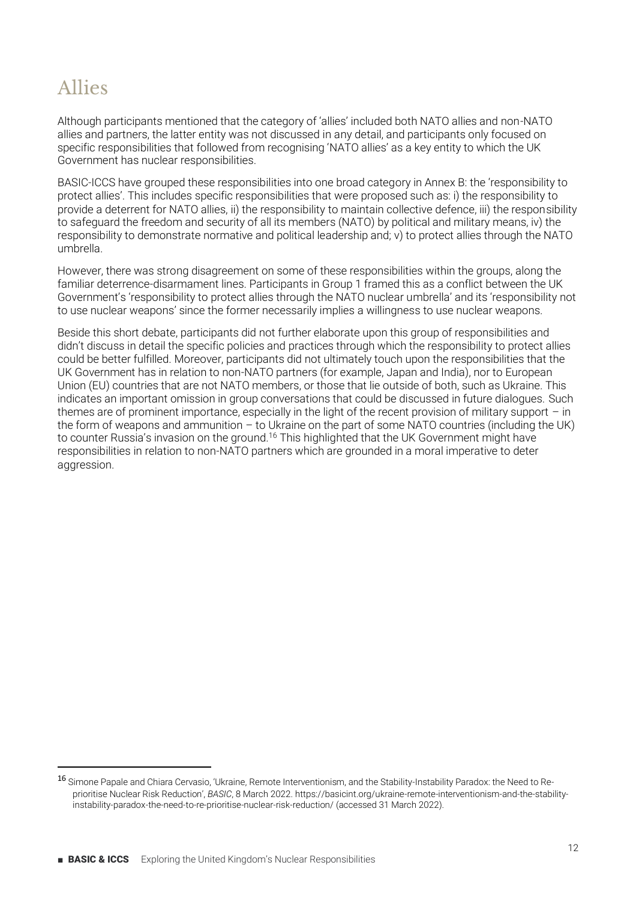### Allies

Although participants mentioned that the category of 'allies' included both NATO allies and non-NATO allies and partners, the latter entity was not discussed in any detail, and participants only focused on specific responsibilities that followed from recognising 'NATO allies' as a key entity to which the UK Government has nuclear responsibilities.

BASIC-ICCS have grouped these responsibilities into one broad category in Annex B: the 'responsibility to protect allies'. This includes specific responsibilities that were proposed such as: i) the responsibility to provide a deterrent for NATO allies, ii) the responsibility to maintain collective defence, iii) the responsibility to safeguard the freedom and security of all its members (NATO) by political and military means, iv) the responsibility to demonstrate normative and political leadership and; v) to protect allies through the NATO umbrella.

However, there was strong disagreement on some of these responsibilities within the groups, along the familiar deterrence-disarmament lines. Participants in Group 1 framed this as a conflict between the UK Government's 'responsibility to protect allies through the NATO nuclear umbrella' and its 'responsibility not to use nuclear weapons' since the former necessarily implies a willingness to use nuclear weapons.

Beside this short debate, participants did not further elaborate upon this group of responsibilities and didn't discuss in detail the specific policies and practices through which the responsibility to protect allies could be better fulfilled. Moreover, participants did not ultimately touch upon the responsibilities that the UK Government has in relation to non-NATO partners (for example, Japan and India), nor to European Union (EU) countries that are not NATO members, or those that lie outside of both, such as Ukraine. This indicates an important omission in group conversations that could be discussed in future dialogues. Such themes are of prominent importance, especially in the light of the recent provision of military support  $-$  in the form of weapons and ammunition  $-$  to Ukraine on the part of some NATO countries (including the UK) to counter Russia's invasion on the ground.<sup>16</sup> This highlighted that the UK Government might have responsibilities in relation to non-NATO partners which are grounded in a moral imperative to deter aggression.

<sup>16</sup> Simone Papale and Chiara Cervasio, 'Ukraine, Remote Interventionism, and the Stability-Instability Paradox: the Need to Reprioritise Nuclear Risk Reduction', BASIC, 8 March 2022, https://basicint.org/ukraine-remote-interventionism-and-the-stability[instability-paradox-the-need-to-re-prioritise-nuclear-risk-reduction/](https://basicint.org/ukraine-remote-interventionism-and-the-stability-instability-paradox-the-need-to-re-prioritise-nuclear-risk-reduction/) (accessed 31 March 2022).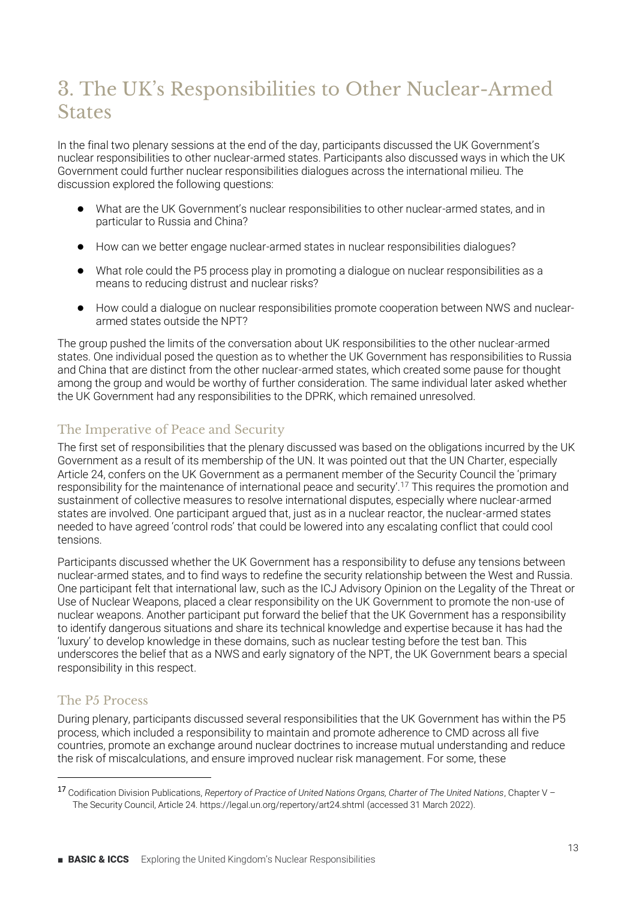### 3. The UK's Responsibilities to Other Nuclear-Armed **States**

In the final two plenary sessions at the end of the day, participants discussed the UK Government's nuclear responsibilities to other nuclear-armed states. Participants also discussed ways in which the UK Government could further nuclear responsibilities dialogues across the international milieu. The discussion explored the following questions:

- What are the UK Government's nuclear responsibilities to other nuclear-armed states, and in particular to Russia and China?
- භ How can we better engage nuclear-armed states in nuclear responsibilities dialogues?
- භ What role could the P5 process play in promoting a dialogue on nuclear responsibilities as a means to reducing distrust and nuclear risks?
- භ How could a dialogue on nuclear responsibilities promote cooperation between NWS and nucleararmed states outside the NPT?

The group pushed the limits of the conversation about UK responsibilities to the other nuclear-armed states. One individual posed the question as to whether the UK Government has responsibilities to Russia and China that are distinct from the other nuclear-armed states, which created some pause for thought among the group and would be worthy of further consideration. The same individual later asked whether the UK Government had any responsibilities to the DPRK, which remained unresolved.

#### The Imperative of Peace and Security

The first set of responsibilities that the plenary discussed was based on the obligations incurred by the UK Government as a result of its membership of the UN. It was pointed out that the UN Charter, especially Article 24, confers on the UK Government as a permanent member of the Security Council the 'primary responsibility for the maintenance of international peace and security'.<sup>17</sup> This requires the promotion and sustainment of collective measures to resolve international disputes, especially where nuclear-armed states are involved. One participant argued that, just as in a nuclear reactor, the nuclear-armed states needed to have agreed 'control rods' that could be lowered into any escalating conflict that could cool tensions.

Participants discussed whether the UK Government has a responsibility to defuse any tensions between nuclear-armed states, and to find ways to redefine the security relationship between the West and Russia. One participant felt that international law, such as the ICJ Advisory Opinion on the Legality of the Threat or Use of Nuclear Weapons, placed a clear responsibility on the UK Government to promote the non-use of nuclear weapons. Another participant put forward the belief that the UK Government has a responsibility to identify dangerous situations and share its technical knowledge and expertise because it has had the 'luxury' to develop knowledge in these domains, such as nuclear testing before the test ban. This underscores the belief that as a NWS and early signatory of the NPT, the UK Government bears a special responsibility in this respect.

#### The P5 Process

During plenary, participants discussed several responsibilities that the UK Government has within the P5 process, which included a responsibility to maintain and promote adherence to CMD across all five countries, promote an exchange around nuclear doctrines to increase mutual understanding and reduce the risk of miscalculations, and ensure improved nuclear risk management. For some, these

<sup>17</sup> Codification Division Publications, Repertory of Practice of United Nations Organs, Charter of The United Nations, Chapter V -The Security Council, Article 24[. https://legal.un.org/repertory/art24.shtml](https://legal.un.org/repertory/art24.shtml) (accessed 31 March 2022).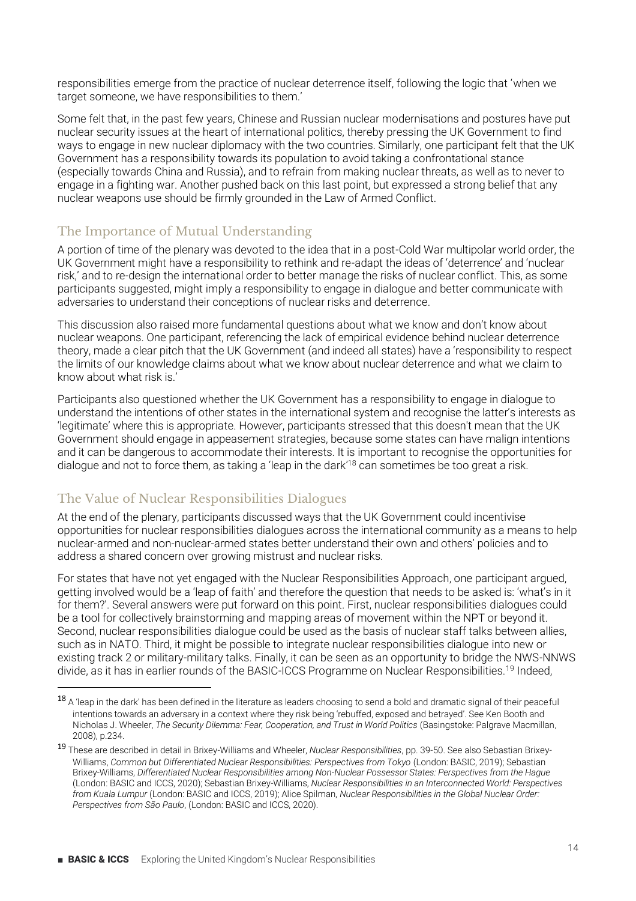responsibilities emerge from the practice of nuclear deterrence itself, following the logic that 'when we target someone, we have responsibilities to them.'

Some felt that, in the past few years, Chinese and Russian nuclear modernisations and postures have put nuclear security issues at the heart of international politics, thereby pressing the UK Government to find ways to engage in new nuclear diplomacy with the two countries. Similarly, one participant felt that the UK Government has a responsibility towards its population to avoid taking a confrontational stance (especially towards China and Russia), and to refrain from making nuclear threats, as well as to never to engage in a fighting war. Another pushed back on this last point, but expressed a strong belief that any nuclear weapons use should be firmly grounded in the Law of Armed Conflict.

#### The Importance of Mutual Understanding

A portion of time of the plenary was devoted to the idea that in a post-Cold War multipolar world order, the UK Government might have a responsibility to rethink and re-adapt the ideas of 'deterrence' and 'nuclear risk,' and to re-design the international order to better manage the risks of nuclear conflict. This, as some participants suggested, might imply a responsibility to engage in dialogue and better communicate with adversaries to understand their conceptions of nuclear risks and deterrence.

This discussion also raised more fundamental questions about what we know and don't know about nuclear weapons. One participant, referencing the lack of empirical evidence behind nuclear deterrence theory, made a clear pitch that the UK Government (and indeed all states) have a 'responsibility to respect the limits of our knowledge claims about what we know about nuclear deterrence and what we claim to know about what risk is.'

Participants also questioned whether the UK Government has a responsibility to engage in dialogue to understand the intentions of other states in the international system and recognise the latter's interests as 'legitimate' where this is appropriate. However, participants stressed that this doesn't mean that the UK Government should engage in appeasement strategies, because some states can have malign intentions and it can be dangerous to accommodate their interests. It is important to recognise the opportunities for dialogue and not to force them, as taking a 'leap in the dark'<sup>18</sup> can sometimes be too great a risk.

#### The Value of Nuclear Responsibilities Dialogues

At the end of the plenary, participants discussed ways that the UK Government could incentivise opportunities for nuclear responsibilities dialogues across the international community as a means to help nuclear-armed and non-nuclear-armed states better understand their own and others' policies and to address a shared concern over growing mistrust and nuclear risks.

For states that have not yet engaged with the Nuclear Responsibilities Approach, one participant argued, aetting involved would be a 'leap of faith' and therefore the question that needs to be asked is: 'what's in it for them?'. Several answers were put forward on this point. First, nuclear responsibilities dialogues could be a tool for collectively brainstorming and mapping areas of movement within the NPT or beyond it. Second, nuclear responsibilities dialogue could be used as the basis of nuclear staff talks between allies, such as in NATO. Third, it might be possible to integrate nuclear responsibilities dialogue into new or existing track 2 or military-military talks. Finally, it can be seen as an opportunity to bridge the NWS-NNWS divide, as it has in earlier rounds of the BASIC-ICCS Programme on Nuclear Responsibilities.19 Indeed,

<sup>18</sup> A 'leap in the dark' has been defined in the literature as leaders choosing to send a bold and dramatic signal of their peaceful intentions towards an adversary in a context where they risk being 'rebuffed, exposed and betrayed'. See Ken Booth and Nicholas J. Wheeler, *The Security Dilemma: Fear, Cooperation, and Trust in World Politics* (Basingstoke: Palgrave Macmillan, 2008), p.234.

<sup>19</sup> These are described in detail in Brixey-Williams and Wheeler, *Nuclear Responsibilities*, pp. 39-50. See also Sebastian Brixey-Williams, *Common but Differentiated Nuclear Responsibilities: Perspectives from Tokyo* (London: BASIC, 2019); Sebastian Brixey-Williams, *Differentiated Nuclear Responsibilities among Non-Nuclear Possessor States: Perspectives from the Hague* (London: BASIC and ICCS, 2020); Sebastian Brixey-Williams, *Nuclear Responsibilities in an Interconnected World: Perspectives from Kuala Lumpur* (London: BASIC and ICCS, 2019); Alice Spilman, *Nuclear Responsibilities in the Global Nuclear Order: Perspectives from Sʞo Paulo*, (London: BASIC and ICCS, 2020).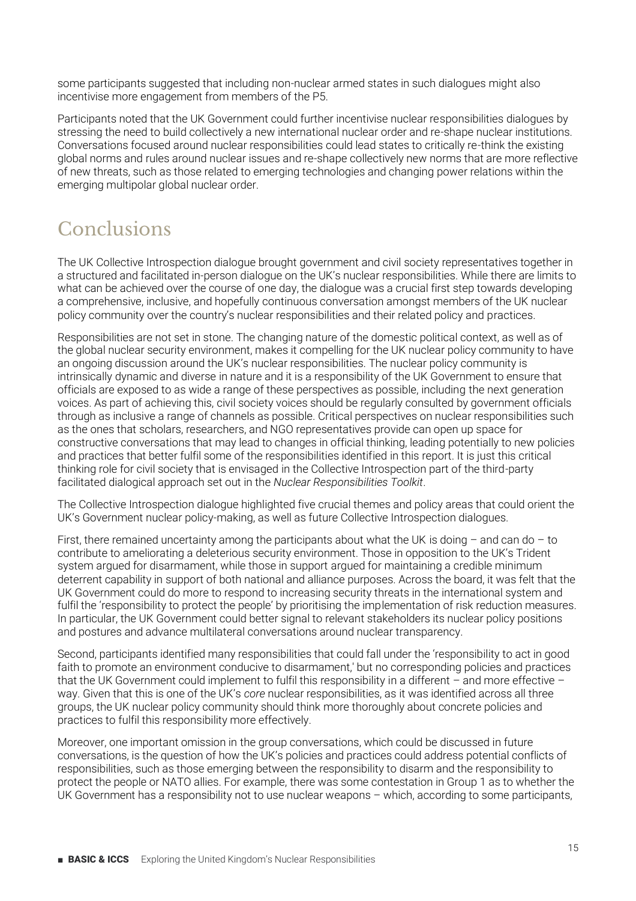some participants suggested that including non-nuclear armed states in such dialogues might also incentivise more engagement from members of the P5.

Participants noted that the UK Government could further incentivise nuclear responsibilities dialogues by stressing the need to build collectively a new international nuclear order and re-shape nuclear institutions. Conversations focused around nuclear responsibilities could lead states to critically re-think the existing global norms and rules around nuclear issues and re-shape collectively new norms that are more reflective of new threats, such as those related to emerging technologies and changing power relations within the emerging multipolar global nuclear order.

### Conclusions

The UK Collective Introspection dialogue brought government and civil society representatives together in a structured and facilitated in-person dialogue on the UK's nuclear responsibilities. While there are limits to what can be achieved over the course of one day, the dialogue was a crucial first step towards developing a comprehensive, inclusive, and hopefully continuous conversation amongst members of the UK nuclear policy community over the country's nuclear responsibilities and their related policy and practices.

Responsibilities are not set in stone. The changing nature of the domestic political context, as well as of the global nuclear security environment, makes it compelling for the UK nuclear policy community to have an ongoing discussion around the UK's nuclear responsibilities. The nuclear policy community is intrinsically dynamic and diverse in nature and it is a responsibility of the UK Government to ensure that officials are exposed to as wide a range of these perspectives as possible, including the next generation voices. As part of achieving this, civil society voices should be regularly consulted by government officials through as inclusive a range of channels as possible. Critical perspectives on nuclear responsibilities such as the ones that scholars, researchers, and NGO representatives provide can open up space for constructive conversations that may lead to changes in official thinking, leading potentially to new policies and practices that better fulfil some of the responsibilities identified in this report. It is just this critical thinking role for civil society that is envisaged in the Collective Introspection part of the third-party facilitated dialogical approach set out in the *Nuclear Responsibilities Toolkit*.

The Collective Introspection dialogue highlighted five crucial themes and policy areas that could orient the UK's Government nuclear policy-making, as well as future Collective Introspection dialogues.

First, there remained uncertainty among the participants about what the UK is doing  $-$  and can do  $-$  to contribute to ameliorating a deleterious security environment. Those in opposition to the UK's Trident system argued for disarmament, while those in support argued for maintaining a credible minimum deterrent capability in support of both national and alliance purposes. Across the board, it was felt that the UK Government could do more to respond to increasing security threats in the international system and fulfil the 'responsibility to protect the people' by prioritising the implementation of risk reduction measures. In particular, the UK Government could better signal to relevant stakeholders its nuclear policy positions and postures and advance multilateral conversations around nuclear transparency.

Second, participants identified many responsibilities that could fall under the 'responsibility to act in good faith to promote an environment conducive to disarmament,' but no corresponding policies and practices that the UK Government could implement to fulfil this responsibility in a different  $\overline{-}$  and more effective  $\overline{-}$ way. Given that this is one of the UK's *core* nuclear responsibilities, as it was identified across all three groups, the UK nuclear policy community should think more thoroughly about concrete policies and practices to fulfil this responsibility more effectively.

Moreover, one important omission in the group conversations, which could be discussed in future conversations, is the question of how the UK's policies and practices could address potential conflicts of responsibilities, such as those emerging between the responsibility to disarm and the responsibility to protect the people or NATO allies. For example, there was some contestation in Group 1 as to whether the UK Government has a responsibility not to use nuclear weapons  $-$  which, according to some participants,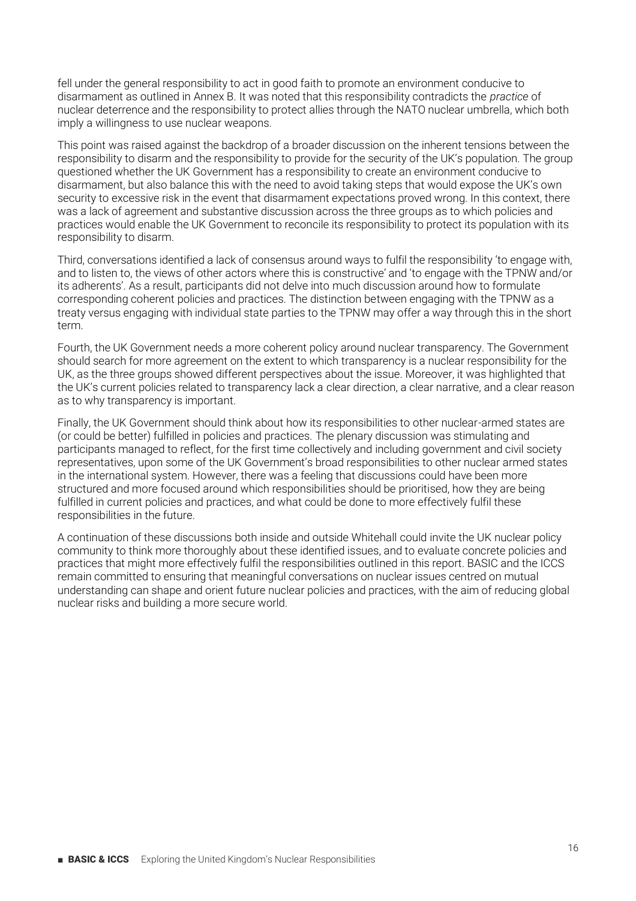fell under the general responsibility to act in good faith to promote an environment conducive to disarmament as outlined in Annex B. It was noted that this responsibility contradicts the *practice* of nuclear deterrence and the responsibility to protect allies through the NATO nuclear umbrella, which both imply a willingness to use nuclear weapons.

This point was raised against the backdrop of a broader discussion on the inherent tensions between the responsibility to disarm and the responsibility to provide for the security of the UK's population. The group questioned whether the UK Government has a responsibility to create an environment conducive to disarmament, but also balance this with the need to avoid taking steps that would expose the UK's own security to excessive risk in the event that disarmament expectations proved wrong. In this context, there was a lack of agreement and substantive discussion across the three groups as to which policies and practices would enable the UK Government to reconcile its responsibility to protect its population with its responsibility to disarm.

Third, conversations identified a lack of consensus around ways to fulfil the responsibility 'to engage with, and to listen to, the views of other actors where this is constructive' and 'to engage with the TPNW and/or its adherents'. As a result, participants did not delve into much discussion around how to formulate corresponding coherent policies and practices. The distinction between engaging with the TPNW as a treaty versus engaging with individual state parties to the TPNW may offer a way through this in the short term.

Fourth, the UK Government needs a more coherent policy around nuclear transparency. The Government should search for more agreement on the extent to which transparency is a nuclear responsibility for the UK, as the three groups showed different perspectives about the issue. Moreover, it was highlighted that the UK's current policies related to transparency lack a clear direction, a clear narrative, and a clear reason as to why transparency is important.

Finally, the UK Government should think about how its responsibilities to other nuclear-armed states are (or could be better) fulfilled in policies and practices. The plenary discussion was stimulating and participants managed to reflect, for the first time collectively and including government and civil society representatives, upon some of the UK Government's broad responsibilities to other nuclear armed states in the international system. However, there was a feeling that discussions could have been more structured and more focused around which responsibilities should be prioritised, how they are being fulfilled in current policies and practices, and what could be done to more effectively fulfil these responsibilities in the future.

A continuation of these discussions both inside and outside Whitehall could invite the UK nuclear policy community to think more thoroughly about these identified issues, and to evaluate concrete policies and practices that might more effectively fulfil the responsibilities outlined in this report. BASIC and the ICCS remain committed to ensuring that meaningful conversations on nuclear issues centred on mutual understanding can shape and orient future nuclear policies and practices, with the aim of reducing global nuclear risks and building a more secure world.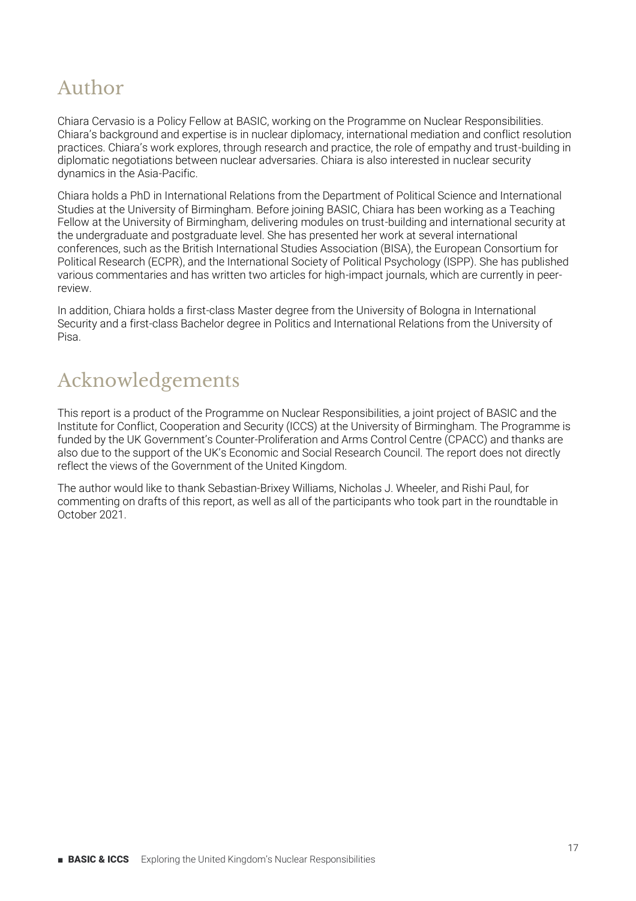### Author

Chiara Cervasio is a Policy Fellow at BASIC, working on the Programme on Nuclear Responsibilities. Chiara's background and expertise is in nuclear diplomacy, international mediation and conflict resolution practices. Chiara's work explores, through research and practice, the role of empathy and trust-building in diplomatic negotiations between nuclear adversaries. Chiara is also interested in nuclear security dynamics in the Asia-Pacific.

Chiara holds a PhD in International Relations from the Department of Political Science and International Studies at the University of Birmingham. Before joining BASIC, Chiara has been working as a Teaching Fellow at the University of Birmingham, delivering modules on trust-building and international security at the undergraduate and postgraduate level. She has presented her work at several international conferences, such as the British International Studies Association (BISA), the European Consortium for Political Research (ECPR), and the International Society of Political Psychology (ISPP). She has published various commentaries and has written two articles for high-impact journals, which are currently in peerreview.

In addition, Chiara holds a first-class Master degree from the University of Bologna in International Security and a first-class Bachelor degree in Politics and International Relations from the University of Pisa.

### Acknowledgements

This report is a product of the Programme on Nuclear Responsibilities, a joint project of BASIC and the Institute for Conflict, Cooperation and Security (ICCS) at the University of Birmingham. The Programme is funded by the UK Government's Counter-Proliferation and Arms Control Centre (CPACC) and thanks are also due to the support of the UK's Economic and Social Research Council. The report does not directly reflect the views of the Government of the United Kingdom.

The author would like to thank Sebastian-Brixey Williams, Nicholas J. Wheeler, and Rishi Paul, for commenting on drafts of this report, as well as all of the participants who took part in the roundtable in October 2021.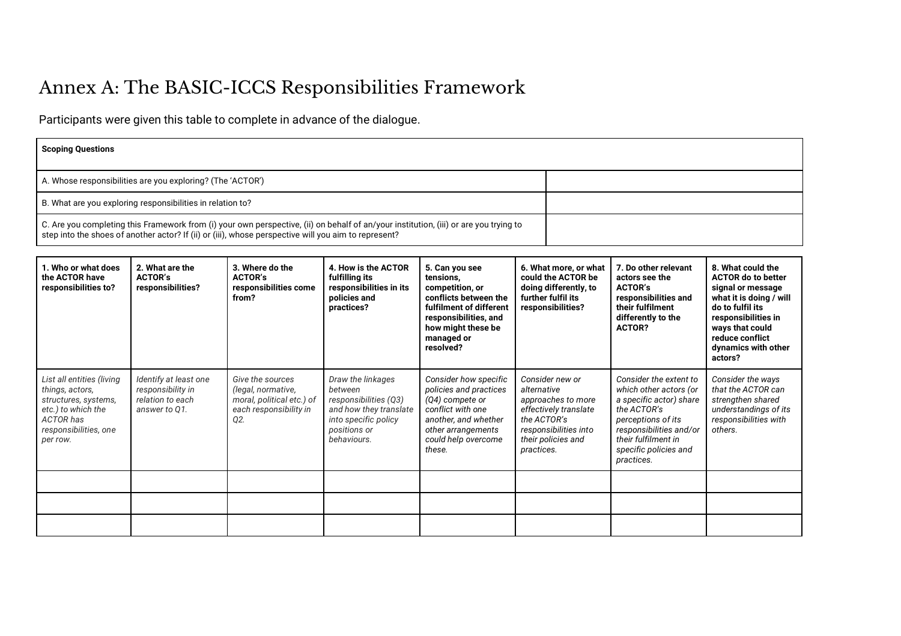#### Annex A: The BASIC-ICCS Responsibilities Framework

Participants were given this table to complete in advance of the dialogue.

| <b>Scoping Questions</b>                                                                                                                                                                                                                      |                                                                                 |                                                                                                      |                                                                                                                                        |                                                                                                                                                                              |                                          |                                                                                                                 |                                                                                                                                                                                                           |                                                                                                                                                                                                                   |
|-----------------------------------------------------------------------------------------------------------------------------------------------------------------------------------------------------------------------------------------------|---------------------------------------------------------------------------------|------------------------------------------------------------------------------------------------------|----------------------------------------------------------------------------------------------------------------------------------------|------------------------------------------------------------------------------------------------------------------------------------------------------------------------------|------------------------------------------|-----------------------------------------------------------------------------------------------------------------|-----------------------------------------------------------------------------------------------------------------------------------------------------------------------------------------------------------|-------------------------------------------------------------------------------------------------------------------------------------------------------------------------------------------------------------------|
| A. Whose responsibilities are you exploring? (The 'ACTOR')                                                                                                                                                                                    |                                                                                 |                                                                                                      |                                                                                                                                        |                                                                                                                                                                              |                                          |                                                                                                                 |                                                                                                                                                                                                           |                                                                                                                                                                                                                   |
| B. What are you exploring responsibilities in relation to?                                                                                                                                                                                    |                                                                                 |                                                                                                      |                                                                                                                                        |                                                                                                                                                                              |                                          |                                                                                                                 |                                                                                                                                                                                                           |                                                                                                                                                                                                                   |
| C. Are you completing this Framework from (i) your own perspective, (ii) on behalf of an/your institution, (iii) or are you trying to<br>step into the shoes of another actor? If (ii) or (iii), whose perspective will you aim to represent? |                                                                                 |                                                                                                      |                                                                                                                                        |                                                                                                                                                                              |                                          |                                                                                                                 |                                                                                                                                                                                                           |                                                                                                                                                                                                                   |
| 1. Who or what does<br>the ACTOR have<br>responsibilities to?                                                                                                                                                                                 | 2. What are the<br><b>ACTOR's</b><br>responsibilities?                          | 3. Where do the<br><b>ACTOR's</b><br>responsibilities come<br>from?                                  | 4. How is the ACTOR<br>fulfilling its<br>responsibilities in its<br>policies and<br>practices?                                         | 5. Can you see<br>tensions,<br>competition, or<br>conflicts between the<br>fulfilment of different<br>responsibilities, and<br>how might these be<br>managed or<br>resolved? |                                          | 6. What more, or what<br>could the ACTOR be<br>doing differently, to<br>further fulfil its<br>responsibilities? | 7. Do other relevant<br>actors see the<br><b>ACTOR's</b><br>responsibilities and<br>their fulfilment<br>differently to the<br><b>ACTOR?</b>                                                               | 8. What could the<br><b>ACTOR do to better</b><br>signal or message<br>what it is doing / will<br>do to fulfil its<br>responsibilities in<br>ways that could<br>reduce conflict<br>dynamics with other<br>actors? |
| List all entities (living<br>things, actors,<br>structures, systems,<br>etc.) to which the<br><b>ACTOR</b> has<br>responsibilities, one<br>per row.                                                                                           | Identify at least one<br>responsibility in<br>relation to each<br>answer to Q1. | Give the sources<br>(legal, normative,<br>moral, political etc.) of<br>each responsibility in<br>Q2. | Draw the linkages<br>between<br>responsibilities (Q3)<br>and how they translate<br>into specific policy<br>positions or<br>behaviours. | Consider how specific<br>policies and practices<br>(Q4) compete or<br>conflict with one<br>another, and whether<br>other arrangements<br>could help overcome<br>these.       | alternative<br>the ACTOR's<br>practices. | Consider new or<br>approaches to more<br>effectively translate<br>responsibilities into<br>their policies and   | Consider the extent to<br>which other actors (or<br>a specific actor) share<br>the ACTOR's<br>perceptions of its<br>responsibilities and/or<br>their fulfilment in<br>specific policies and<br>practices. | Consider the ways<br>that the ACTOR can<br>strengthen shared<br>understandings of its<br>responsibilities with<br>others.                                                                                         |
|                                                                                                                                                                                                                                               |                                                                                 |                                                                                                      |                                                                                                                                        |                                                                                                                                                                              |                                          |                                                                                                                 |                                                                                                                                                                                                           |                                                                                                                                                                                                                   |
|                                                                                                                                                                                                                                               |                                                                                 |                                                                                                      |                                                                                                                                        |                                                                                                                                                                              |                                          |                                                                                                                 |                                                                                                                                                                                                           |                                                                                                                                                                                                                   |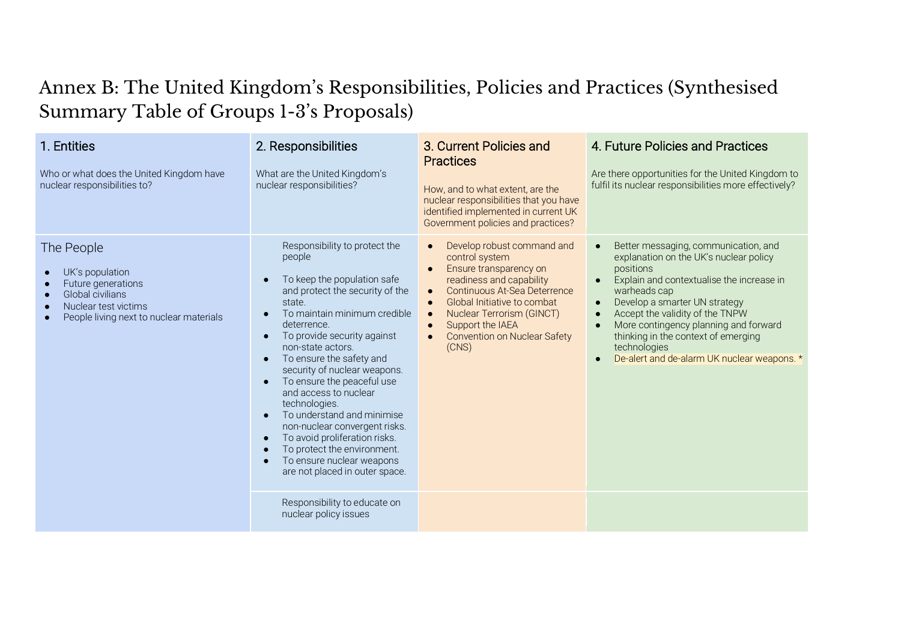#### Annex B: The United Kingdom's Responsibilities, Policies and Practices (Synthesised Summary Table of Groups 1-3's Proposals)

| 1. Entities<br>Who or what does the United Kingdom have<br>nuclear responsibilities to?                                                    | 2. Responsibilities<br>What are the United Kingdom's<br>nuclear responsibilities?                                                                                                                                                                                                                                                                                                                                                                                                                                                                                     | 3. Current Policies and<br><b>Practices</b><br>How, and to what extent, are the<br>nuclear responsibilities that you have<br>identified implemented in current UK<br>Government policies and practices?                                                                                                                                                        | 4. Future Policies and Practices<br>Are there opportunities for the United Kingdom to<br>fulfil its nuclear responsibilities more effectively?                                                                                                                                                                                                                                           |
|--------------------------------------------------------------------------------------------------------------------------------------------|-----------------------------------------------------------------------------------------------------------------------------------------------------------------------------------------------------------------------------------------------------------------------------------------------------------------------------------------------------------------------------------------------------------------------------------------------------------------------------------------------------------------------------------------------------------------------|----------------------------------------------------------------------------------------------------------------------------------------------------------------------------------------------------------------------------------------------------------------------------------------------------------------------------------------------------------------|------------------------------------------------------------------------------------------------------------------------------------------------------------------------------------------------------------------------------------------------------------------------------------------------------------------------------------------------------------------------------------------|
| The People<br>UK's population<br>Future generations<br>Global civilians<br>Nuclear test victims<br>People living next to nuclear materials | Responsibility to protect the<br>people<br>To keep the population safe<br>and protect the security of the<br>state.<br>To maintain minimum credible<br>deterrence.<br>To provide security against<br>non-state actors.<br>To ensure the safety and<br>$\bullet$<br>security of nuclear weapons.<br>To ensure the peaceful use<br>and access to nuclear<br>technologies.<br>To understand and minimise<br>non-nuclear convergent risks.<br>To avoid proliferation risks.<br>To protect the environment.<br>To ensure nuclear weapons<br>are not placed in outer space. | Develop robust command and<br>$\bullet$<br>control system<br>Ensure transparency on<br>$\bullet$<br>readiness and capability<br><b>Continuous At-Sea Deterrence</b><br>$\bullet$<br>Global Initiative to combat<br>$\bullet$<br><b>Nuclear Terrorism (GINCT)</b><br>$\bullet$<br>Support the IAEA<br>$\bullet$<br><b>Convention on Nuclear Safety</b><br>(CNS) | Better messaging, communication, and<br>$\bullet$<br>explanation on the UK's nuclear policy<br>positions<br>Explain and contextualise the increase in<br>warheads cap<br>Develop a smarter UN strategy<br>Accept the validity of the TNPW<br>More contingency planning and forward<br>thinking in the context of emerging<br>technologies<br>De-alert and de-alarm UK nuclear weapons. * |
|                                                                                                                                            | Responsibility to educate on<br>nuclear policy issues                                                                                                                                                                                                                                                                                                                                                                                                                                                                                                                 |                                                                                                                                                                                                                                                                                                                                                                |                                                                                                                                                                                                                                                                                                                                                                                          |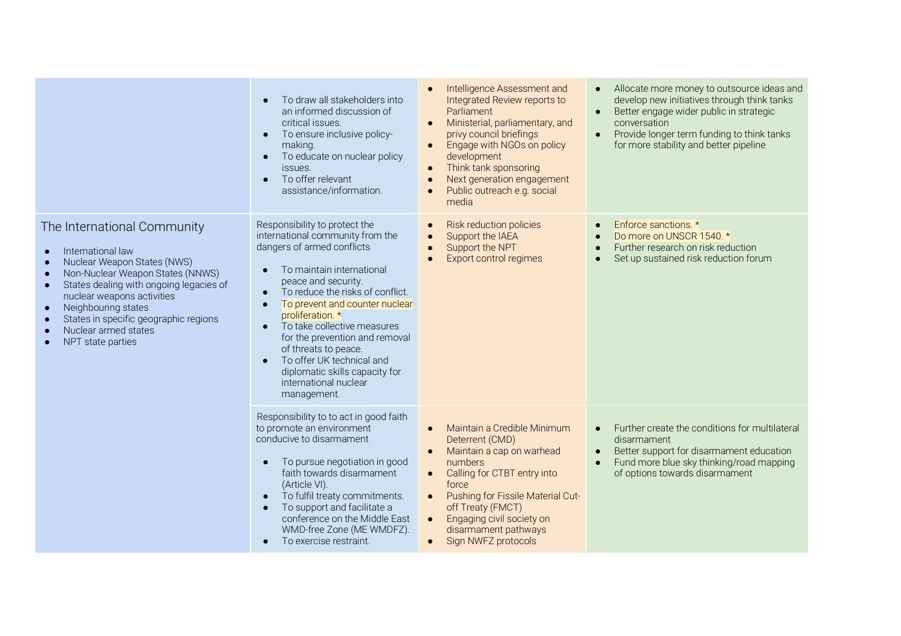|                                                                                                                                                                                                                                                                                                                                     | To draw all stakeholders into<br>$\bullet$<br>an informed discussion of<br>critical issues.<br>To ensure inclusive policy-<br>making.<br>To educate on nuclear policy<br>$\bullet$<br>issues.<br>To offer relevant<br>$\bullet$<br>assistance/information.                                                                                                                                                                                                                           | Intelligence Assessment and<br>Integrated Review reports to<br>Parliament<br>Ministerial, parliamentary, and<br>privy council briefings<br>Engage with NGOs on policy<br>development<br>Think tank sponsoring<br>Next generation engagement<br>Public outreach e.g. social<br>media                                                   | Allocate more money to outsource ideas and<br>$\bullet$<br>develop new initiatives through think tanks<br>Better engage wider public in strategic<br>$\bullet$<br>conversation<br>Provide longer term funding to think tanks<br>$\bullet$<br>for more stability and better pipeline |
|-------------------------------------------------------------------------------------------------------------------------------------------------------------------------------------------------------------------------------------------------------------------------------------------------------------------------------------|--------------------------------------------------------------------------------------------------------------------------------------------------------------------------------------------------------------------------------------------------------------------------------------------------------------------------------------------------------------------------------------------------------------------------------------------------------------------------------------|---------------------------------------------------------------------------------------------------------------------------------------------------------------------------------------------------------------------------------------------------------------------------------------------------------------------------------------|-------------------------------------------------------------------------------------------------------------------------------------------------------------------------------------------------------------------------------------------------------------------------------------|
| The International Community<br>International law<br>Nuclear Weapon States (NWS)<br>Non-Nuclear Weapon States (NNWS)<br>States dealing with ongoing legacies of<br>$\bullet$<br>nuclear weapons activities<br>Neighbouring states<br>$\bullet$<br>States in specific geographic regions<br>Nuclear armed states<br>NPT state parties | Responsibility to protect the<br>international community from the<br>dangers of armed conflicts<br>To maintain international<br>peace and security.<br>To reduce the risks of conflict.<br>$\bullet$<br>To prevent and counter nuclear<br>$\bullet$<br>proliferation. *<br>To take collective measures<br>for the prevention and removal<br>of threats to peace.<br>To offer UK technical and<br>$\bullet$<br>diplomatic skills capacity for<br>international nuclear<br>management. | <b>Risk reduction policies</b><br>Support the IAEA<br>Support the NPT<br>Export control regimes                                                                                                                                                                                                                                       | Enforce sanctions. *<br>Do more on UNSCR 1540. *<br>Further research on risk reduction<br>$\bullet$<br>Set up sustained risk reduction forum                                                                                                                                        |
|                                                                                                                                                                                                                                                                                                                                     | Responsibility to to act in good faith<br>to promote an environment<br>conducive to disarmament<br>To pursue negotiation in good<br>$\bullet$<br>faith towards disarmament<br>(Article VI).<br>To fulfil treaty commitments.<br>$\bullet$<br>To support and facilitate a<br>conference on the Middle East<br>WMD-free Zone (ME WMDFZ).<br>To exercise restraint.<br>$\bullet$                                                                                                        | Maintain a Credible Minimum<br>$\bullet$<br>Deterrent (CMD)<br>Maintain a cap on warhead<br>numbers<br>Calling for CTBT entry into<br>$\bullet$<br>force<br>Pushing for Fissile Material Cut-<br>$\bullet$<br>off Treaty (FMCT)<br>Engaging civil society on<br>$\bullet$<br>disarmament pathways<br>Sign NWFZ protocols<br>$\bullet$ | Further create the conditions for multilateral<br>$\bullet$<br>disarmament<br>Better support for disarmament education<br>$\bullet$<br>Fund more blue sky thinking/road mapping<br>$\bullet$<br>of options towards disarmament                                                      |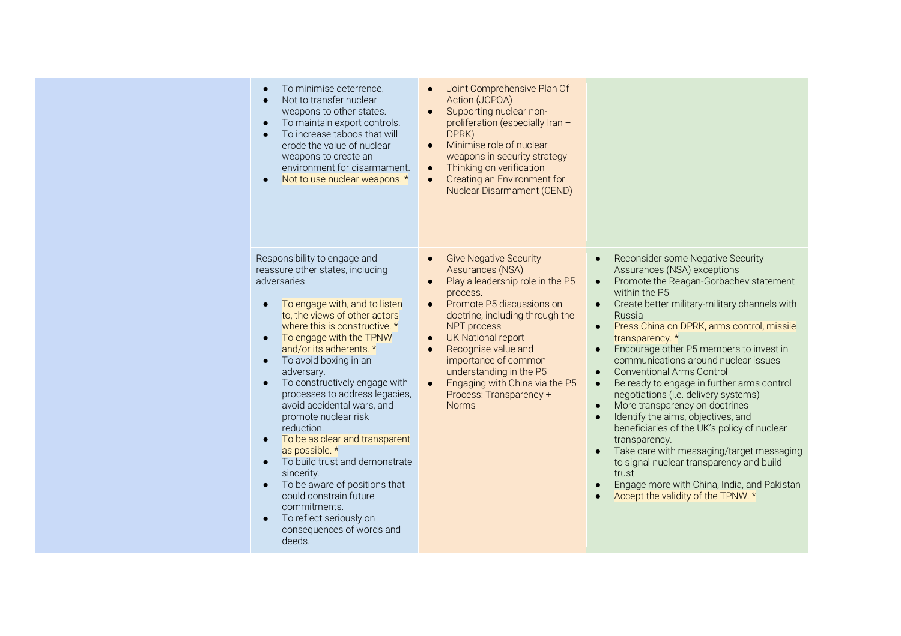| To minimise deterrence.<br>$\bullet$<br>Not to transfer nuclear<br>weapons to other states.<br>To maintain export controls.<br>$\bullet$<br>To increase taboos that will<br>$\bullet$<br>erode the value of nuclear<br>weapons to create an<br>environment for disarmament.<br>Not to use nuclear weapons. *<br>$\bullet$                                                                                                                                                                                                                                                                                                                                                                                                                                          | Joint Comprehensive Plan Of<br>$\bullet$<br>Action (JCPOA)<br>Supporting nuclear non-<br>$\bullet$<br>proliferation (especially Iran +<br>DPRK)<br>Minimise role of nuclear<br>$\bullet$<br>weapons in security strategy<br>Thinking on verification<br>$\bullet$<br>Creating an Environment for<br>$\bullet$<br>Nuclear Disarmament (CEND)                                                                                                        |                                                                                                                                                                                                                                                                                                                                                                                                                                                                                                                                                                                                                                                                                                                                                                                                                                                                                                                                                    |
|--------------------------------------------------------------------------------------------------------------------------------------------------------------------------------------------------------------------------------------------------------------------------------------------------------------------------------------------------------------------------------------------------------------------------------------------------------------------------------------------------------------------------------------------------------------------------------------------------------------------------------------------------------------------------------------------------------------------------------------------------------------------|----------------------------------------------------------------------------------------------------------------------------------------------------------------------------------------------------------------------------------------------------------------------------------------------------------------------------------------------------------------------------------------------------------------------------------------------------|----------------------------------------------------------------------------------------------------------------------------------------------------------------------------------------------------------------------------------------------------------------------------------------------------------------------------------------------------------------------------------------------------------------------------------------------------------------------------------------------------------------------------------------------------------------------------------------------------------------------------------------------------------------------------------------------------------------------------------------------------------------------------------------------------------------------------------------------------------------------------------------------------------------------------------------------------|
| Responsibility to engage and<br>reassure other states, including<br>adversaries<br>To engage with, and to listen<br>$\bullet$<br>to, the views of other actors<br>where this is constructive. *<br>To engage with the TPNW<br>$\bullet$<br>and/or its adherents. *<br>To avoid boxing in an<br>$\bullet$<br>adversary.<br>To constructively engage with<br>$\bullet$<br>processes to address legacies,<br>avoid accidental wars, and<br>promote nuclear risk<br>reduction.<br>To be as clear and transparent<br>$\bullet$<br>as possible. *<br>To build trust and demonstrate<br>$\bullet$<br>sincerity.<br>To be aware of positions that<br>$\bullet$<br>could constrain future<br>commitments.<br>To reflect seriously on<br>consequences of words and<br>deeds. | <b>Give Negative Security</b><br>$\bullet$<br>Assurances (NSA)<br>Play a leadership role in the P5<br>$\bullet$<br>process.<br>Promote P5 discussions on<br>$\bullet$<br>doctrine, including through the<br>NPT process<br><b>UK National report</b><br>$\bullet$<br>Recognise value and<br>$\bullet$<br>importance of common<br>understanding in the P5<br>Engaging with China via the P5<br>$\bullet$<br>Process: Transparency +<br><b>Norms</b> | Reconsider some Negative Security<br>$\bullet$<br>Assurances (NSA) exceptions<br>Promote the Reagan-Gorbachev statement<br>$\bullet$<br>within the P5<br>Create better military-military channels with<br>$\bullet$<br>Russia<br>Press China on DPRK, arms control, missile<br>$\bullet$<br>transparency. *<br>Encourage other P5 members to invest in<br>$\bullet$<br>communications around nuclear issues<br><b>Conventional Arms Control</b><br>$\bullet$<br>Be ready to engage in further arms control<br>$\bullet$<br>negotiations (i.e. delivery systems)<br>More transparency on doctrines<br>$\bullet$<br>Identify the aims, objectives, and<br>$\bullet$<br>beneficiaries of the UK's policy of nuclear<br>transparency.<br>Take care with messaging/target messaging<br>$\bullet$<br>to signal nuclear transparency and build<br>trust<br>Engage more with China, India, and Pakistan<br>$\bullet$<br>Accept the validity of the TPNW. * |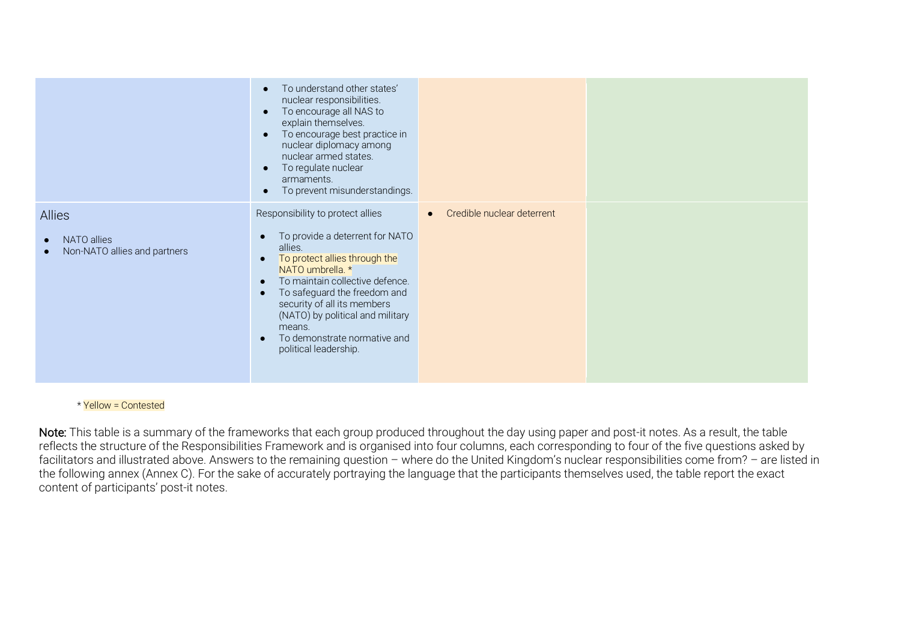|                                                                                        | To understand other states'<br>$\bullet$<br>nuclear responsibilities.<br>To encourage all NAS to<br>$\bullet$<br>explain themselves.<br>To encourage best practice in<br>$\bullet$<br>nuclear diplomacy among<br>nuclear armed states.<br>To regulate nuclear<br>$\bullet$<br>armaments.<br>To prevent misunderstandings.<br>$\bullet$       |                            |  |
|----------------------------------------------------------------------------------------|----------------------------------------------------------------------------------------------------------------------------------------------------------------------------------------------------------------------------------------------------------------------------------------------------------------------------------------------|----------------------------|--|
| <b>Allies</b><br>NATO allies<br>$\bullet$<br>Non-NATO allies and partners<br>$\bullet$ | Responsibility to protect allies<br>To provide a deterrent for NATO<br>allies.<br>To protect allies through the<br>NATO umbrella. *<br>To maintain collective defence.<br>To safeguard the freedom and<br>security of all its members<br>(NATO) by political and military<br>means.<br>To demonstrate normative and<br>political leadership. | Credible nuclear deterrent |  |

\* Yellow = Contested

Note: This table is a summary of the frameworks that each group produced throughout the day using paper and post-it notes. As a result, the table reflects the structure of the Responsibilities Framework and is organised into four columns, each corresponding to four of the five questions asked by facilitators and illustrated above. Answers to the remaining question – where do the United Kingdom's nuclear responsibilities come from? – are listed in the following annex (Annex C). For the sake of accurately portraying the language that the participants themselves used, the table report the exact content of participants' post-it notes.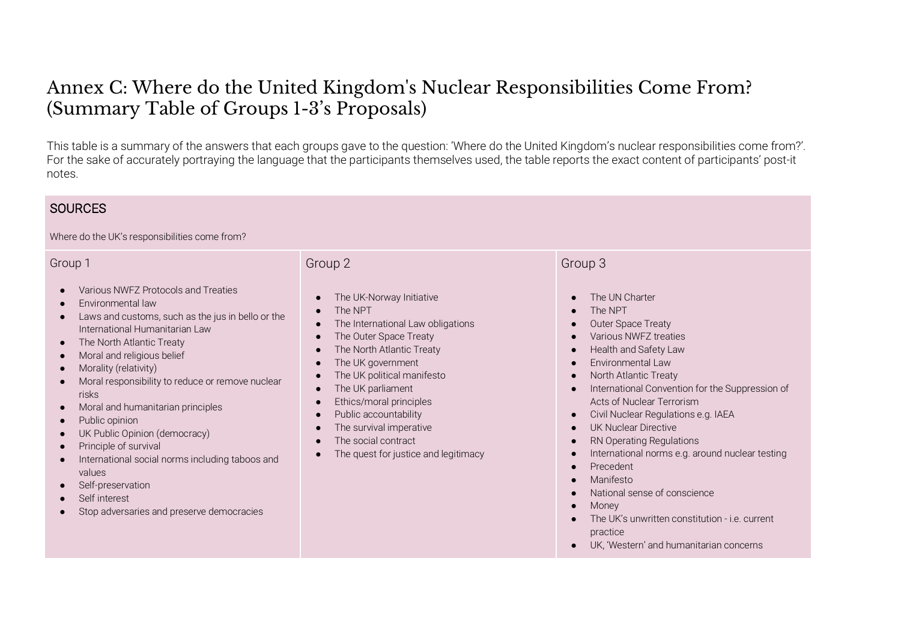#### Annex C: Where do the United Kingdom's Nuclear Responsibilities Come From? (Summary Table of Groups 1-3's Proposals)

This table is a summary of the answers that each groups gave to the question: 'Where do the United Kingdom's nuclear responsibilities come from?'. For the sake of accurately portraying the language that the participants themselves used, the table reports the exact content of participants' post-it notes.

#### **SOURCES** Where do the UK's responsibilities come from? Group 1 Various NWFZ Protocols and Treaties ● Environmental law ● Laws and customs, such as the jus in bello or the International Humanitarian Law ● The North Atlantic Treaty ● Moral and religious belief Morality (relativity) ● Moral responsibility to reduce or remove nuclear risks ● Moral and humanitarian principles ● Public opinion ● UK Public Opinion (democracy) ● Principle of survival International social norms including taboos and values Self-preservation ● Self interest Stop adversaries and preserve democracies Group 2 The UK-Norway Initiative The NPT The International Law obligations The Outer Space Treaty The North Atlantic Treaty The UK government The UK political manifesto The UK parliament ● Ethics/moral principles Public accountability The survival imperative The social contract ● The quest for justice and legitimacy Group 3 The UN Charter The NPT ● Outer Space Treaty ● Various NWFZ treaties ● Health and Safety Law ● Environmental Law ● North Atlantic Treaty ● International Convention for the Suppression of Acts of Nuclear Terrorism ● Civil Nuclear Regulations e.g. IAEA ● UK Nuclear Directive ● RN Operating Regulations ● International norms e.g. around nuclear testing ● Precedent ● Manifesto ● National sense of conscience ● Money ● The UK's unwritten constitution - i.e. current practice

● UK, 'Western' and humanitarian concerns